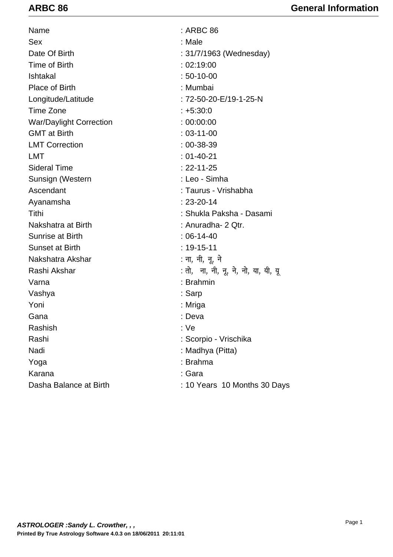| Name                           | : ARBC 86                            |
|--------------------------------|--------------------------------------|
| Sex                            | : Male                               |
| Date Of Birth                  | : 31/7/1963 (Wednesday)              |
| Time of Birth                  | : 02:19:00                           |
| Ishtakal                       | $: 50 - 10 - 00$                     |
| <b>Place of Birth</b>          | : Mumbai                             |
| Longitude/Latitude             | : 72-50-20-E/19-1-25-N               |
| Time Zone                      | $: +5:30:0$                          |
| <b>War/Daylight Correction</b> | : 00:00:00                           |
| <b>GMT</b> at Birth            | $: 03 - 11 - 00$                     |
| <b>LMT Correction</b>          | $: 00 - 38 - 39$                     |
| <b>LMT</b>                     | $: 01 - 40 - 21$                     |
| <b>Sideral Time</b>            | $: 22 - 11 - 25$                     |
| Sunsign (Western               | : Leo - Simha                        |
| Ascendant                      | : Taurus - Vrishabha                 |
| Ayanamsha                      | $: 23 - 20 - 14$                     |
| Tithi                          | : Shukla Paksha - Dasami             |
| Nakshatra at Birth             | : Anuradha- 2 Qtr.                   |
| Sunrise at Birth               | $: 06 - 14 - 40$                     |
| <b>Sunset at Birth</b>         | $: 19 - 15 - 11$                     |
| Nakshatra Akshar               | : ना, नी, नू, ने                     |
| Rashi Akshar                   | : तो, जा, नी, नू, ने, नो, या, यी, यू |
| Varna                          | : Brahmin                            |
| Vashya                         | : Sarp                               |
| Yoni                           | : Mriga                              |
| Gana                           | : Deva                               |
| Rashish                        | : Ve                                 |
| Rashi                          | : Scorpio - Vrischika                |
| Nadi                           | : Madhya (Pitta)                     |
| Yoga                           | : Brahma                             |
| Karana                         | : Gara                               |
| Dasha Balance at Birth         | : 10 Years 10 Months 30 Days         |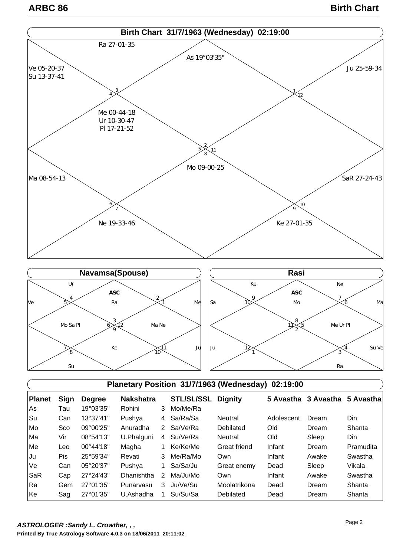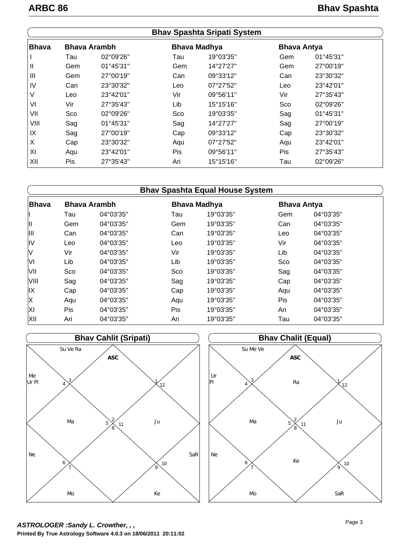|              |     |                     |     | <b>Bhav Spashta Sripati System</b> |                    |           |  |
|--------------|-----|---------------------|-----|------------------------------------|--------------------|-----------|--|
| <b>Bhava</b> |     | <b>Bhava Arambh</b> |     | <b>Bhava Madhya</b>                | <b>Bhava Antya</b> |           |  |
|              | Tau | 02°09'26"           | Tau | 19°03'35"                          | Gem                | 01°45'31" |  |
| Ш            | Gem | 01°45'31"           | Gem | 14°27'27"                          | Gem                | 27°00'19" |  |
| III          | Gem | 27°00'19"           | Can | 09°33'12"                          | Can                | 23°30'32" |  |
| IV           | Can | 23°30'32"           | Leo | 07°27'52"                          | Leo                | 23°42'01" |  |
| V            | Leo | 23°42'01"           | Vir | 09°56'11"                          | Vir                | 27°35'43" |  |
| VI           | Vir | 27°35'43"           | Lib | 15°15'16"                          | Sco                | 02°09'26" |  |
| VII          | Sco | 02°09'26"           | Sco | 19°03'35"                          | Sag                | 01°45'31" |  |
| VIII         | Sag | $01^{\circ}45'31"$  | Sag | 14°27'27"                          | Sag                | 27°00'19" |  |
| IX           | Sag | 27°00'19"           | Cap | 09°33'12"                          | Cap                | 23°30'32" |  |
| X            | Cap | 23°30'32"           | Aqu | 07°27'52"                          | Aqu                | 23°42'01" |  |
| XI           | Aqu | 23°42'01"           | Pis | 09°56'11"                          | <b>Pis</b>         | 27°35'43" |  |
| XII          | Pis | 27°35'43"           | Ari | 15°15'16"                          | Tau                | 02°09'26" |  |

|              |     |                     |     | <b>Bhav Spashta Equal House System</b> |                    |           |
|--------------|-----|---------------------|-----|----------------------------------------|--------------------|-----------|
| <b>Bhava</b> |     | <b>Bhava Arambh</b> |     | <b>Bhava Madhya</b>                    | <b>Bhava Antya</b> |           |
|              | Tau | 04°03'35"           | Tau | 19°03'35"                              | Gem                | 04°03'35" |
| Ш            | Gem | 04°03'35"           | Gem | 19°03'35"                              | Can                | 04°03'35" |
| Ш            | Can | 04°03'35"           | Can | 19°03'35"                              | Leo                | 04°03'35" |
| IV           | Leo | 04°03'35"           | Leo | 19°03'35"                              | Vir                | 04°03'35" |
| V            | Vir | 04°03'35"           | Vir | 19°03'35"                              | Lib                | 04°03'35" |
| VI           | Lib | 04°03'35"           | Lib | 19°03'35"                              | Sco                | 04°03'35" |
| VII          | Sco | 04°03'35"           | Sco | 19°03'35"                              | Sag                | 04°03'35" |
| VIII         | Sag | 04°03'35"           | Sag | 19°03'35"                              | Cap                | 04°03'35" |
| IX           | Cap | 04°03'35"           | Cap | 19°03'35"                              | Aqu                | 04°03'35" |
| Χ            | Aqu | 04°03'35"           | Aqu | 19°03'35"                              | <b>Pis</b>         | 04°03'35" |
| XI           | Pis | 04°03'35"           | Pis | 19°03'35"                              | Ari                | 04°03'35" |
| XII          | Ari | 04°03'35"           | Ari | 19°03'35"                              | Tau                | 04°03'35" |



**Printed By True Astrology Software 4.0.3 on 18/06/2011 20:11:02** *ASTROLOGER :Sandy L. Crowther, , ,*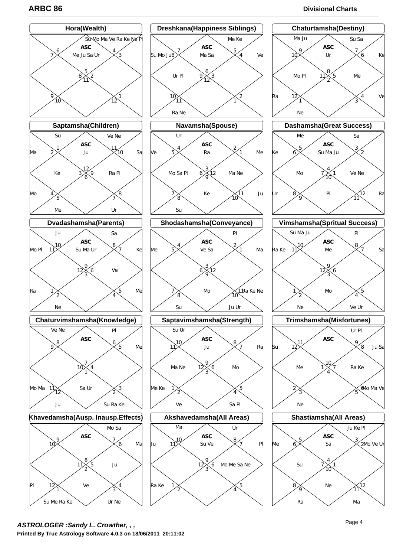# **ARBC 86 Divisional Charts**



**Printed By True Astrology Software 4.0.3 on 18/06/2011 20:11:02** *ASTROLOGER :Sandy L. Crowther, , ,*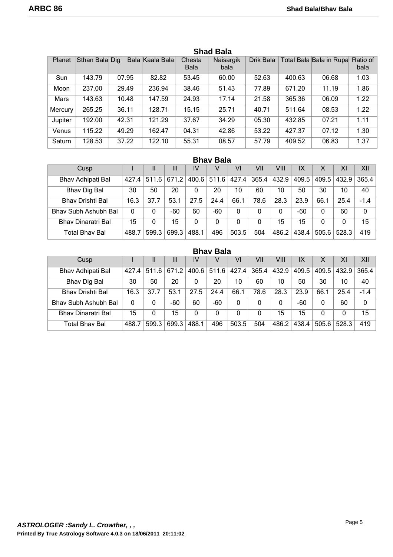| Planet  | Sthan Bala Dig |       | Bala Kaala Bala | Chesta<br><b>Bala</b> | Naisargik<br>bala | Drik Bala |        | Total Bala Bala in Rupa Ratio of | bala |
|---------|----------------|-------|-----------------|-----------------------|-------------------|-----------|--------|----------------------------------|------|
| Sun     | 143.79         | 07.95 | 82.82           | 53.45                 | 60.00             | 52.63     | 400.63 | 06.68                            | 1.03 |
| Moon    | 237.00         | 29.49 | 236.94          | 38.46                 | 51.43             | 77.89     | 671.20 | 11.19                            | 1.86 |
| Mars    | 143.63         | 10.48 | 147.59          | 24.93                 | 17.14             | 21.58     | 365.36 | 06.09                            | 1.22 |
| Mercury | 265.25         | 36.11 | 128.71          | 15.15                 | 25.71             | 40.71     | 511.64 | 08.53                            | 1.22 |
| Jupiter | 192.00         | 42.31 | 121.29          | 37.67                 | 34.29             | 05.30     | 432.85 | 07.21                            | 1.11 |
| Venus   | 115.22         | 49.29 | 162.47          | 04.31                 | 42.86             | 53.22     | 427.37 | 07.12                            | 1.30 |
| Saturn  | 128.53         | 37.22 | 122.10          | 55.31                 | 08.57             | 57.79     | 409.52 | 06.83                            | 1.37 |

# **Shad Bala**

# **Bhav Bala**

| Cusp                      |          | Ш     | Ш     | IV    | V     | VI    | VII   | VIII  | IX    | Χ        | XI    | XII         |
|---------------------------|----------|-------|-------|-------|-------|-------|-------|-------|-------|----------|-------|-------------|
| Bhav Adhipati Bal         | 427.4    | 511.6 | 671.2 | 400.6 | 511.6 | 427.4 | 365.4 | 432.9 | 409.5 | 409.5    | 432.9 | 365.4       |
| <b>Bhav Dig Bal</b>       | 30       | 50    | 20    |       | 20    | 10    | 60    | 10    | 50    | 30       | 10    | 40          |
| <b>Bhav Drishti Bal</b>   | 16.3     | 37.7  | 53.1  | 27.5  | 24.4  | 66.1  | 78.6  | 28.3  | 23.9  | 66.1     | 25.4  | $-1.4$      |
| Bhay Subh Ashubh Bal      | $\Omega$ | 0     | -60   | 60    | -60   | 0     | 0     | 0     | -60   | $\Omega$ | 60    | $\mathbf 0$ |
| <b>Bhav Dinaratri Bal</b> | 15       | 0     | 15    | 0     | 0     | 0     | 0     | 15    | 15    | 0        | 0     | 15          |
| <b>Total Bhav Bal</b>     | 488.     | 599.3 | 699.3 | 488.1 | 496   | 503.5 | 504   | 486.2 | 438.4 | 505.6    | 528.3 | 419         |

|                         | <b>Bhay Bala</b> |       |       |       |       |       |       |       |       |       |       |             |  |  |
|-------------------------|------------------|-------|-------|-------|-------|-------|-------|-------|-------|-------|-------|-------------|--|--|
| Cusp                    |                  | Ш     | Ш     | IV    | v     | VI    | VII   | VIII  | IX    | Χ     | XI    | XII         |  |  |
| Bhav Adhipati Bal       | 427.4            | 511.6 | 671.2 | 400.6 | 511.6 | 427.4 | 365.4 | 432.9 | 409.5 | 409.5 | 432.9 | 365.4       |  |  |
| <b>Bhav Dig Bal</b>     | 30               | 50    | 20    | 0     | 20    | 10    | 60    | 10    | 50    | 30    | 10    | 40          |  |  |
| <b>Bhav Drishti Bal</b> | 16.3             | 37.7  | 53.1  | 27.5  | 24.4  | 66.1  | 78.6  | 28.3  | 23.9  | 66.1  | 25.4  | $-1.4$      |  |  |
| Bhay Subh Ashubh Bal    | 0                | 0     | -60   | 60    | -60   | 0     | 0     | 0     | -60   | 0     | 60    | $\mathbf 0$ |  |  |
| Bhay Dinaratri Bal      | 15               | 0     | 15    | 0     | 0     | 0     | 0     | 15    | 15    | 0     | 0     | 15          |  |  |
| Total Bhav Bal          | 488.7            | 599.3 | 699.3 | 488.1 | 496   | 503.5 | 504   | 486.2 | 438.4 | 505.6 | 528.3 | 419         |  |  |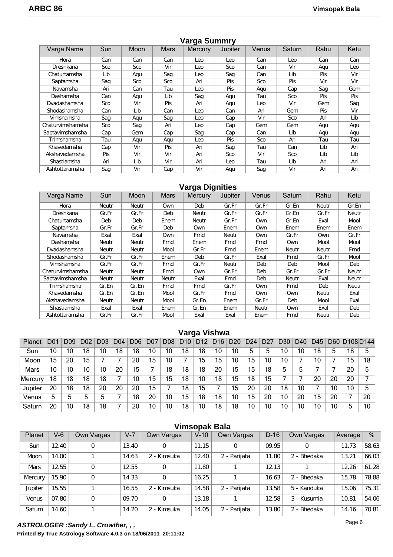| Varga Name       | Sun        | Moon | <b>Mars</b> | ີ<br><b>Mercury</b> | Jupiter    | Venus | Saturn     | Rahu       | Ketu       |
|------------------|------------|------|-------------|---------------------|------------|-------|------------|------------|------------|
| Hora             | Can        | Can  | Can         | Leo                 | Leo        | Can   | Leo        | Can        | Can        |
| Dreshkana        | Sco        | Sco  | Vir         | Leo                 | Sco        | Can   | Vir        | Agu        | Leo        |
| Chaturtamsha     | Lib        | Aqu  | Saq         | Leo                 | Saq        | Can   | Lib        | Pis        | Vir        |
| Saptamsha        | Saq        | Sco  | Sco         | Ari                 | <b>Pis</b> | Sco   | <b>Pis</b> | Vir        | Vir        |
| Navamsha         | Ari        | Can  | Tau         | Leo                 | <b>Pis</b> | Agu   | Cap        | Sag        | Gem        |
| Dashamsha        | Can        | Agu  | Lib         | Saq                 | Agu        | Tau   | Sco        | Pis        | <b>Pis</b> |
| Dvadashamsha     | Sco        | Vir  | <b>Pis</b>  | Ari                 | Agu        | Leo   | Vir        | Gem        | Sag        |
| Shodashamsha     | Can        | Lib  | Can         | Leo                 | Can        | Ari   | Gem        | <b>Pis</b> | Vir        |
| Vimshamsha       | Sag        | Aqu  | Sag         | Leo                 | Cap        | Vir   | Sco        | Ari        | Lib        |
| Chaturvimshamsha | Sco        | Sag  | Ari         | Leo                 | Cap        | Gem   | Gem        | Agu        | Aqu        |
| Saptavimshamsha  | Cap        | Gem  | Cap         | Sag                 | Cap        | Can   | Lib        | Aqu        | Aqu        |
| Trimshamsha      | Tau        | Agu  | Agu         | Leo                 | <b>Pis</b> | Sco   | Ari        | Tau        | Tau        |
| Khavedamsha      | Cap        | Vir  | <b>Pis</b>  | Ari                 | Saq        | Tau   | Can        | Lib        | Ari        |
| Akshavedamsha    | <b>Pis</b> | Vir  | Vir         | Ari                 | Sco        | Vir   | Sco        | Lib        | Lib        |
| Shastiamsha      | Ari        | Lib  | Vir         | Ari                 | Leo        | Tau   | Lib        | Ari        | Ari        |
| Ashtottaramsha   | Sag        | Vir  | Cap         | Vir                 | Agu        | Saq   | Vir        | Ari        | Ari        |

# **Varga Summry**

# **Varga Dignities**

| Varga Name       | Sun   | Moon         | <b>Mars</b> | <b>Mercury</b> | Jupiter      | Venus | Saturn | Rahu         | Ketu  |
|------------------|-------|--------------|-------------|----------------|--------------|-------|--------|--------------|-------|
| Hora             | Neutr | <b>Neutr</b> | Own         | Deb            | Gr.Fr        | Gr.Fr | Gr.En  | Neutr        | Gr.En |
| Dreshkana        | Gr.Fr | Gr.Fr        | Deb         | Neutr          | Gr.Fr        | Gr.Fr | Gr.En  | Gr.Fr        | Neutr |
| Chaturtamsha     | Deb   | Deb          | Enem        | Neutr          | Gr.Fr        | Own   | Gr.En  | Exal         | Mool  |
| Saptamsha        | Gr.Fr | Gr.Fr        | Deb         | Own            | Enem         | Own   | Enem   | Enem         | Enem  |
| Navamsha         | Exal  | Exal         | 0wn         | Frnd           | <b>Neutr</b> | Own   | Gr.Fr  | Own          | Gr.Fr |
| Dashamsha        | Neutr | Neutr        | Frnd        | Enem           | Frnd         | Frnd  | Own    | Mool         | Mool  |
| Dvadashamsha     | Neutr | Neutr        | Mool        | Gr.Fr          | Frnd         | Enem  | Neutr  | Neutr        | Frnd  |
| Shodashamsha     | Gr.Fr | Gr.Fr        | Enem        | Deb            | Gr.Fr        | Exal  | Frnd   | Gr.Fr        | Mool  |
| Vimshamsha       | Gr.Fr | Gr.Fr        | Frnd        | Gr.Fr          | <b>Neutr</b> | Deb   | Deb    | Mool         | Deb   |
| Chaturvimshamsha | Neutr | Neutr        | Frnd        | Own            | Gr.Fr        | Deb   | Gr.Fr  | Gr.Fr        | Neutr |
| Saptavimshamsha  | Neutr | Neutr        | Neutr       | Exal           | Frnd         | Deb   | Neutr  | Exal         | Neutr |
| Trimshamsha      | Gr.En | Gr.En        | Frnd        | Frnd           | Gr.Fr        | Own   | Frnd   | Deb          | Neutr |
| Khavedamsha      | Gr.En | Gr.En        | Mool        | Gr.Fr          | Frnd         | Own   | 0wn    | Neutr        | Exal  |
| Akshavedamsha    | Neutr | <b>Neutr</b> | Mool        | Gr.En          | Enem         | Gr.Fr | Deb    | Mool         | Exal  |
| Shastiamsha      | Exal  | Exal         | Enem        | Gr.En          | Enem         | Neutr | Own    | Exal         | Deb   |
| Ashtottaramsha   | Gr.Fr | Gr.Fr        | Mool        | Exal           | Exal         | Enem  | Frnd   | <b>Neutr</b> | Deb   |

# **Varga Vishwa**

| Planet         | D0. | D09 | D <sub>0</sub> 2 |    | D <sub>04</sub> | D <sub>06</sub> | D07 | D08 | D10 | D <sub>12</sub> | D <sub>16</sub> | D <sub>20</sub> | D <sub>24</sub> | D2 | D30 | D40 | D45 | D <sub>60</sub> | D <sub>108</sub> D <sub>144</sub> |    |
|----------------|-----|-----|------------------|----|-----------------|-----------------|-----|-----|-----|-----------------|-----------------|-----------------|-----------------|----|-----|-----|-----|-----------------|-----------------------------------|----|
| Sun            | 10  | 10  | 18               | 10 | 18              | 18              | 10  | 10  | 18  | 18              | 10              | 10              | ხ               | 5  | 10  | 10  | 18  | 5               | 18                                | 5  |
| Moon           | 15  | 20  | 15               |    |                 | 20              | 15  | 10  |     | 15              | 15              | 10              | 15              | 10 | 10  |     | 10  |                 | 15                                | 18 |
| Mars           | 10  | 10  | 10               | 10 | 20              | 15              |     | 18  | 18  | 18              | 20              | 15              | 15              | 18 | 5   | ხ   |     |                 | 20                                | 5  |
| <b>Mercury</b> | 18  | 18  | 18               | 18 |                 | 10              | 15  | 15  | 18  | 10              | 18              | 15              | 18              | 15 |     |     | 20  | 20              | 20                                |    |
| Jupiter        | 20  | 18  | 18               | 20 | 20              | 20              | 15  |     | 18  | 15              |                 | 15              | 20              | 20 | 18  | 10  |     | 10              | 10                                | 5  |
| Venus          | 5   | ხ   | 5                | 5  |                 | 18              | 20  | 10  | 15  | 18              | 18              | 10              | 15              | 20 | 10  | 20  | 15  | 20              |                                   | 20 |
| Saturn         | 20  | 10  | 18               | 18 |                 | 20              | 10  | 10  | 18  | 10              | 18              | 18              | 10              | 10 | 10  | 10  | 10  | 10              | 5                                 | 10 |

|             |       |             |         |             | <b>Vimsopak Bala</b> |              |        |             |         |       |
|-------------|-------|-------------|---------|-------------|----------------------|--------------|--------|-------------|---------|-------|
| Planet      | $V-6$ | Own Vargas  | $V - 7$ | Own Vargas  | $V-10$               | Own Vargas   | $D-16$ | Own Vargas  | Average | %     |
| Sun         | 12.40 | 0           | 13.40   | 0           | 11.15                | 0            | 09.95  | 0           | 11.73   | 58.63 |
| Moon        | 14.00 |             | 14.63   | 2 - Kimsuka | 12.40                | 2 - Parijata | 11.80  | 2 - Bhedaka | 13.21   | 66.03 |
| <b>Mars</b> | 12.55 | $\mathbf 0$ | 12.55   | $\mathbf 0$ | 11.80                |              | 12.13  |             | 12.26   | 61.28 |
| Mercury     | 15.90 | 0           | 14.33   | $\Omega$    | 16.25                |              | 16.63  | 2 - Bhedaka | 15.78   | 78.88 |
| Jupiter     | 15.55 |             | 16.55   | 2 - Kimsuka | 14.58                | 2 - Parijata | 13.58  | 5 - Kanduka | 15.06   | 75.31 |
| Venus       | 07.80 | $\mathbf 0$ | 09.70   | $\Omega$    | 13.18                |              | 12.58  | 3 - Kusumia | 10.81   | 54.06 |
| Saturn      | 14.60 |             | 14.20   | 2 - Kimsuka | 14.05                | 2 - Parijata | 13.80  | 2 - Bhedaka | 14.16   | 70.81 |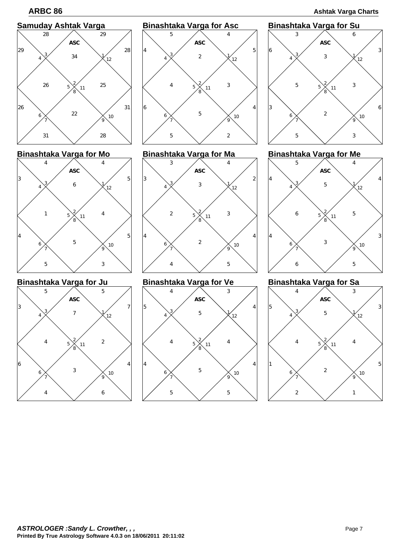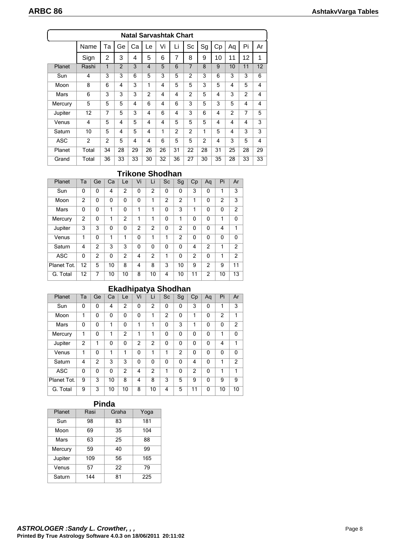| <b>Natal Sarvashtak Chart</b> |                |                |                          |    |                |    |                |                |                |    |                |    |                |
|-------------------------------|----------------|----------------|--------------------------|----|----------------|----|----------------|----------------|----------------|----|----------------|----|----------------|
|                               | Name           | Та             | Ge                       | Сa | Le             | Vi | Li             | Sc             | Sg             | Cp | Aq             | Pi | Ar             |
|                               | Sign           | 2              | 3                        | 4  | 5              | 6  | 7              | 8              | 9              | 10 | 11             | 12 | 1              |
| Planet                        | Rashi          | 1              | $\overline{\phantom{0}}$ | 3  | $\overline{4}$ | 5  | 6              | 7              | 8              | 9  | 10             | 11 | 12             |
| Sun                           | 4              | 3              | 3                        | 6  | 5              | 3  | 5              | $\overline{2}$ | 3              | 6  | 3              | 3  | 6              |
| Moon                          | 8              | 6              | 4                        | 3  | 1              | 4  | 5              | 5              | 3              | 5  | 4              | 5  | 4              |
| Mars                          | 6              | 3              | 3                        | 3  | 2              | 4  | 4              | 2              | 5              | 4  | 3              | 2  | 4              |
| Mercury                       | 5              | 5              | 5                        | 4  | 6              | 4  | 6              | 3              | 5              | 3  | 5              | 4  | 4              |
| Jupiter                       | 12             | 7              | 5                        | 3  | 4              | 6  | 4              | 3              | 6              | 4  | $\overline{c}$ | 7  | 5              |
| Venus                         | 4              | $\overline{5}$ | 4                        | 5  | $\overline{4}$ | 4  | 5              | 5              | 5              | 4  | 4              | 4  | 3              |
| Saturn                        | 10             | 5              | 4                        | 5  | $\overline{4}$ | 1  | $\overline{2}$ | $\overline{2}$ | 1              | 5  | 4              | 3  | 3              |
| <b>ASC</b>                    | $\overline{2}$ | $\overline{2}$ | 5                        | 4  | $\overline{4}$ | 6  | 5              | 5              | $\overline{2}$ | 4  | 3              | 5  | $\overline{4}$ |
| Planet                        | Total          | 34             | 28                       | 29 | 26             | 26 | 31             | 22             | 28             | 31 | 25             | 28 | 29             |
| Grand                         | Total          | 36             | 33                       | 33 | 30             | 32 | 36             | 27             | 30             | 35 | 28             | 33 | 33             |

# **Trikone Shodhan**

| Planet      | Ta             | Ge            | Ca | Le | Vi             | Li             | Sc | Sg             | Cp | Aq       | Pi | Ar             |
|-------------|----------------|---------------|----|----|----------------|----------------|----|----------------|----|----------|----|----------------|
| Sun         | $\mathbf{0}$   | 0             | 4  | 2  | 0              | 2              | 0  | $\mathbf{0}$   | 3  | 0        | 1  | 3              |
| Moon        | $\overline{2}$ | 0             | 0  | 0  | 0              | 1              | 2  | 2              | 1  | 0        | 2  | 3              |
| Mars        | $\mathbf{0}$   | 0             | 1  | 0  | 1              | 1              | 0  | 3              | 1  | 0        | 0  | $\overline{2}$ |
| Mercury     | 2              | 0             | 1  | 2  | 1              | 1              | 0  | 1              | 0  | $\Omega$ | 1  | $\mathbf{0}$   |
| Jupiter     | 3              | 3             | 0  | 0  | $\overline{2}$ | $\overline{2}$ | 0  | $\overline{2}$ | 0  | 0        | 4  | 1              |
| Venus       | 1              | 0             | 1  | 1  | 0              | 1              | 1  | $\overline{2}$ | 0  | 0        | 0  | 0              |
| Saturn      | 4              | $\mathcal{P}$ | 3  | 3  | 0              | 0              | 0  | $\Omega$       | 4  | 2        | 1  | $\overline{2}$ |
| <b>ASC</b>  | 0              | 2             | 0  | 2  | 4              | 2              | 1  | $\mathbf{0}$   | 2  | 0        | 1  | 2              |
| Planet Tot. | 12             | 5             | 10 | 8  | 4              | 8              | 3  | 10             | 9  | 2        | 9  | 11             |
| G. Total    | 12             | 7             | 10 | 10 | 8              | 10             | 4  | 10             | 11 | 2        | 10 | 13             |

# **Ekadhipatya Shodhan**

| Planet      | Ta            | Ge | Ca | Le             | Vi             | Li             | Sc | Sg | Cp             | Aq | Pi | Ar            |
|-------------|---------------|----|----|----------------|----------------|----------------|----|----|----------------|----|----|---------------|
| Sun         | 0             | 0  | 4  | 2              | 0              | 2              | 0  | 0  | 3              | 0  | 1  | 3             |
| Moon        | 1             | 0  | 0  | $\mathbf{0}$   | 0              | 1              | 2  | 0  | 1              | 0  | 2  | 1             |
| Mars        | 0             | 0  | 1  | 0              | 1              | 1              | 0  | 3  | 1              | 0  | 0  | 2             |
| Mercury     | 1             | 0  | 1  | 2              | 1              | 1              | 0  | 0  | $\mathbf{0}$   | 0  | 1  | $\mathbf{0}$  |
| Jupiter     | $\mathcal{P}$ | 1  | 0  | 0              | $\mathfrak{p}$ | $\overline{2}$ | 0  | 0  | $\mathbf{0}$   | 0  | 4  | 1             |
| Venus       | 1             | 0  | 1  | 1              | 0              | 1              | 1  | 2  | $\mathbf{0}$   | 0  | 0  | $\mathbf{0}$  |
| Saturn      | 4             | 2  | 3  | 3              | 0              | 0              | 0  | 0  | $\overline{4}$ | 0  | 1  | $\mathcal{P}$ |
| <b>ASC</b>  | 0             | 0  | 0  | $\overline{2}$ | 4              | $\overline{2}$ | 1  | 0  | $\overline{2}$ | 0  | 1  | 1             |
| Planet Tot. | 9             | 3  | 10 | 8              | 4              | 8              | 3  | 5  | 9              | 0  | 9  | 9             |
| G. Total    | 9             | 3  | 10 | 10             | 8              | 10             | 4  | 5  | 11             | 0  | 10 | 10            |

# **Pinda**

| Planet  | Rasi | Graha | Yoga |
|---------|------|-------|------|
| Sun     | 98   | 83    | 181  |
| Moon    | 69   | 35    | 104  |
| Mars    | 63   | 25    | 88   |
| Mercury | 59   | 40    | 99   |
| Jupiter | 109  | 56    | 165  |
| Venus   | 57   | 22    | 79   |
| Saturn  | 144  | 81    | 225  |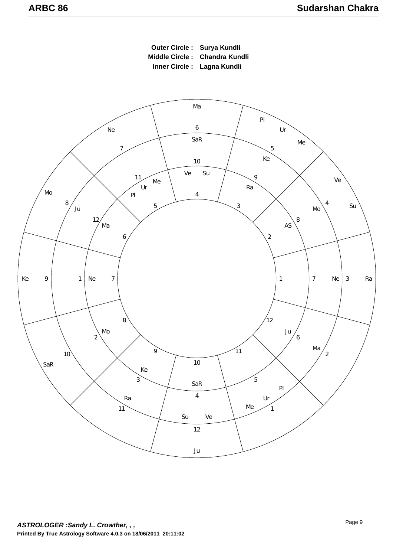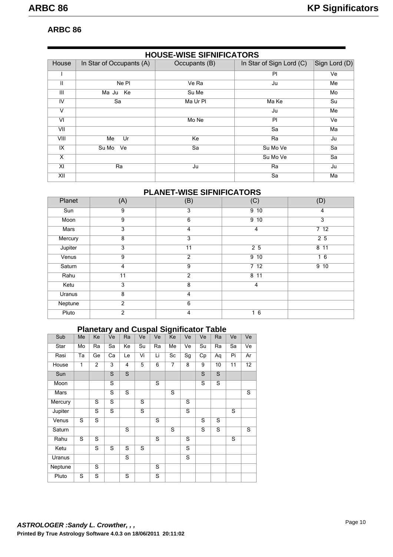# **ARBC 86**

|       | <b>HOUSE-WISE SIFNIFICATORS</b> |               |                          |               |  |  |  |  |  |  |  |  |
|-------|---------------------------------|---------------|--------------------------|---------------|--|--|--|--|--|--|--|--|
| House | In Star of Occupants (A)        | Occupants (B) | In Star of Sign Lord (C) | Sign Lord (D) |  |  |  |  |  |  |  |  |
|       |                                 |               | PI                       | Ve            |  |  |  |  |  |  |  |  |
| Ш     | Ne PI                           | Ve Ra         | Ju                       | Me            |  |  |  |  |  |  |  |  |
| III   | Ma Ju Ke                        | Su Me         |                          | Mo            |  |  |  |  |  |  |  |  |
| IV    | Sa                              | Ma Ur Pl      | Ma Ke                    | Su            |  |  |  |  |  |  |  |  |
| v     |                                 |               | Ju                       | Me            |  |  |  |  |  |  |  |  |
| VI    |                                 | Mo Ne         | PI                       | Ve            |  |  |  |  |  |  |  |  |
| VII   |                                 |               | Sa                       | Ma            |  |  |  |  |  |  |  |  |
| VIII  | Ur<br>Me                        | Ke            | Ra                       | Ju            |  |  |  |  |  |  |  |  |
| IX    | Su Mo<br>Ve                     | Sa            | Su Mo Ve                 | Sa            |  |  |  |  |  |  |  |  |
| X     |                                 |               | Su Mo Ve                 | Sa            |  |  |  |  |  |  |  |  |
| XI    | Ra                              | Ju            | Ra                       | Ju            |  |  |  |  |  |  |  |  |
| XII   |                                 |               | Sa                       | Ma            |  |  |  |  |  |  |  |  |

# **PLANET-WISE SIFNIFICATORS**

| Planet  | (A)            | (B)             | (C)             | (D)             |
|---------|----------------|-----------------|-----------------|-----------------|
| Sun     | 9              | $\overline{3}$  | 9 <sub>10</sub> | 4               |
| Moon    | 9              | 6               | 9 <sub>10</sub> | 3               |
| Mars    | 3              | 4               | 4               | 712             |
| Mercury | 8              | $\overline{3}$  |                 | 25              |
| Jupiter | 3              | $\overline{11}$ | 25              | 8 <sup>11</sup> |
| Venus   | 9              | $\overline{2}$  | 9 <sub>10</sub> | 16              |
| Saturn  | 4              | 9               | 712             | 9 <sub>10</sub> |
| Rahu    | 11             | $\overline{2}$  | 8 <sub>11</sub> |                 |
| Ketu    | 3              | 8               | $\overline{4}$  |                 |
| Uranus  | 8              | 4               |                 |                 |
| Neptune | 2              | 6               |                 |                 |
| Pluto   | $\overline{2}$ | 4               | 16              |                 |

# **Planetary and Cuspal Significator Table**

| Sub     | Me | Ke             | Ve             | Ra | Ve | Ve                      | Ke             | Ve                      | Ve                      | Ra                      | Ve | Ve |
|---------|----|----------------|----------------|----|----|-------------------------|----------------|-------------------------|-------------------------|-------------------------|----|----|
| Star    | Mo | Ra             | Sa             | Ke | Su | Ra                      | Me             | Ve                      | Su                      | Ra                      | Sa | Ve |
| Rasi    | Ta | Ge             | Ca             | Le | Vi | Li                      | Sc             | $\overline{Sg}$         | Cp                      | Aq                      | Pi | Ar |
| House   | 1  | $\overline{2}$ | 3              | 4  | 5  | 6                       | $\overline{7}$ | 8                       | 9                       | 10                      | 11 | 12 |
| Sun     |    |                | $\mathsf{S}$   | S  |    |                         |                |                         | $\mathbf S$             | S                       |    |    |
| Moon    |    |                | S              |    |    | $\overline{\mathsf{s}}$ |                |                         | S                       | S                       |    |    |
| Mars    |    |                | S              | S  |    |                         | $\overline{s}$ |                         |                         |                         |    | S  |
| Mercury |    | S              | S              |    | S  |                         |                | S                       |                         |                         |    |    |
| Jupiter |    | S              | $\overline{s}$ |    | S  |                         |                | $\overline{\mathsf{s}}$ |                         |                         | S  |    |
| Venus   | S  | $\overline{s}$ |                |    |    | $\overline{\mathsf{s}}$ |                |                         | $\overline{\mathsf{s}}$ | S                       |    |    |
| Saturn  |    |                |                | S  |    |                         | S              |                         | S                       | $\overline{\mathbf{s}}$ |    | S  |
| Rahu    | S  | $\overline{s}$ |                |    |    | $\overline{s}$          |                | S                       |                         |                         | S  |    |
| Ketu    |    | S              | S              | S  | S  |                         |                | $\overline{s}$          |                         |                         |    |    |
| Uranus  |    |                |                | S  |    |                         |                | $\overline{\mathbf{s}}$ |                         |                         |    |    |
| Neptune |    | S              |                |    |    | $\overline{\mathsf{s}}$ |                |                         |                         |                         |    |    |
| Pluto   | S  | S              |                | S  |    | S                       |                |                         |                         |                         |    |    |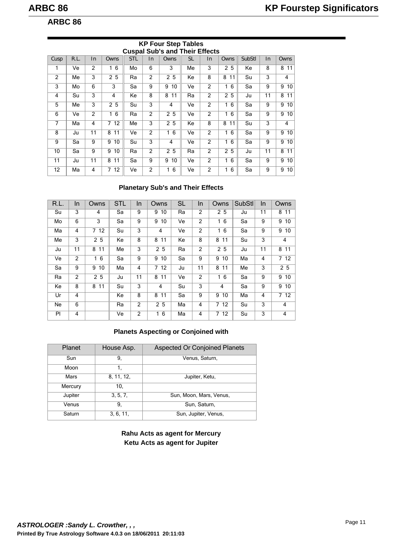# **ARBC 86**

|      | <b>Cuspal Sub's and Their Effects</b> |                |         |            |                |         |           |                |                   |        |    |                 |  |  |
|------|---------------------------------------|----------------|---------|------------|----------------|---------|-----------|----------------|-------------------|--------|----|-----------------|--|--|
| Cusp | R.L.                                  | $\ln$          | Owns    | <b>STL</b> | In             | Owns    | <b>SL</b> | In             | Owns              | SubStl | In | Owns            |  |  |
| 1    | Ve                                    | $\overline{2}$ | 6<br>1  | Mo         | 6              | 3       | Me        | 3              | 2 5               | Ke     | 8  | 8 11            |  |  |
| 2    | Мe                                    | 3              | 25      | Ra         | $\overline{2}$ | 25      | Ke        | 8              | 8<br>11           | Su     | 3  | 4               |  |  |
| 3    | Mo                                    | 6              | 3       | Sa         | 9              | 10<br>9 | Ve        | $\overline{2}$ | 16                | Sa     | 9  | 9<br>10         |  |  |
| 4    | Su                                    | 3              | 4       | Ke         | 8              | 8<br>11 | Ra        | $\overline{2}$ | 2 5               | Ju     | 11 | 8<br>11         |  |  |
| 5    | Мe                                    | 3              | 25      | Su         | 3              | 4       | Ve        | $\overline{2}$ | 16                | Sa     | 9  | 9<br>10         |  |  |
| 6    | Ve                                    | 2              | 6<br>1. | Ra         | $\overline{2}$ | 25      | Ve        | $\overline{2}$ | 16                | Sa     | 9  | 9 <sub>10</sub> |  |  |
| 7    | Мa                                    | 4              | 712     | Me         | 3              | 25      | Кe        | 8              | 8<br>11           | Su     | 3  | 4               |  |  |
| 8    | Ju                                    | 11             | 11<br>8 | Ve         | $\overline{2}$ | 16      | Ve        | $\overline{2}$ | 16                | Sa     | 9  | 10<br>9         |  |  |
| 9    | Sa                                    | 9              | 10<br>9 | Su         | 3              | 4       | Ve        | $\overline{2}$ | 6<br>$\mathbf{1}$ | Sa     | 9  | 9<br>10         |  |  |
| 10   | Sa                                    | 9              | 9<br>10 | Ra         | $\overline{2}$ | 2 5     | Ra        | $\overline{2}$ | 2 5               | Ju     | 11 | 8 11            |  |  |
| 11   | Ju                                    | 11             | 8<br>11 | Sa         | 9              | 9<br>10 | Ve        | $\overline{2}$ | 16                | Sa     | 9  | 9<br>10         |  |  |
| 12   | Мa                                    | 4              | 712     | Ve         | $\overline{2}$ | 6<br>1  | Ve        | $\overline{2}$ | 6<br>1.           | Sa     | 9  | 9<br>10         |  |  |

# **KP Four Step Tables**

# **Planetary Sub's and Their Effects**

| R.L. | In.            | Owns    | <b>STL</b> | In. | Owns           | <b>SL</b> | In             | Owns           | <b>SubStl</b> | In             | Owns              |
|------|----------------|---------|------------|-----|----------------|-----------|----------------|----------------|---------------|----------------|-------------------|
| Su   | 3              | 4       | Sa         | 9   | 10<br>9        | Ra        | 2              | 25             | Ju            | 11             | 8 11              |
| Mo   | 6              | 3       | Sa         | 9   | 9<br>10        | Ve        | $\overline{2}$ | 16             | Sa            | 9              | 9, 10             |
| Ma   | 4              | 712     | Su         | 3   | 4              | Ve        | 2              | 16             | Sa            | 9              | 9<br>10           |
| Me   | 3              | 25      | Ke         | 8   | 8 11           | Ke        | 8              | 8 11           | Su            | 3              | 4                 |
| Ju   | 11             | 8 11    | Me         | 3   | 2 5            | Ra        | 2              | 2 <sub>5</sub> | Ju            | 11             | 8 11              |
| Ve   | $\overline{2}$ | 16      | Sa         | 9   | 10<br>9        | Sa        | 9              | 9<br>10        | Ma            | $\overline{4}$ | 712               |
| Sa   | 9              | 10<br>9 | Ma         | 4   | 712            | Ju        | 11             | 8 11           | Me            | 3              | 25                |
| Ra   | 2              | 25      | Ju         | 11  | 8 11           | Ve        | 2              | 16             | Sa            | 9              | 9, 10             |
| Ke   | 8              | 8 11    | Su         | 3   | 4              | Su        | 3              | 4              | Sa            | 9              | 9, 10             |
| Ur   | 4              |         | Ke         | 8   | 8 11           | Sa        | 9              | 9<br>10        | Ma            | $\overline{4}$ | $\overline{7}$ 12 |
| Ne   | 6              |         | Ra         | 2   | 2 <sub>5</sub> | Ma        | 4              | 712            | Su            | 3              | 4                 |
| PI   | 4              |         | Ve         | 2   | 16             | Ma        | $\overline{4}$ | 712            | Su            | 3              | 4                 |

# **Planets Aspecting or Conjoined with**

| Planet  | House Asp. | <b>Aspected Or Conjoined Planets</b> |
|---------|------------|--------------------------------------|
| Sun     | 9,         | Venus, Saturn,                       |
| Moon    | 1.         |                                      |
| Mars    | 8, 11, 12, | Jupiter, Ketu,                       |
| Mercury | 10.        |                                      |
| Jupiter | 3, 5, 7,   | Sun, Moon, Mars, Venus,              |
| Venus   | 9,         | Sun, Saturn,                         |
| Saturn  | 3, 6, 11,  | Sun, Jupiter, Venus,                 |

**Rahu Acts as agent for Mercury Ketu Acts as agent for Jupiter**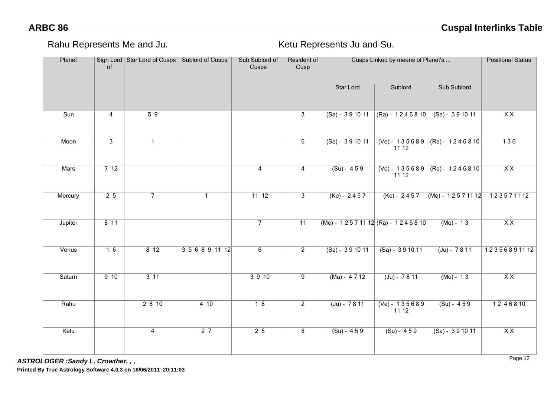Rahu Represents Me and Ju. Net and Sullet and Sullet Represents Ju and Su.

| Planet                  | of             | Sign Lord Star Lord of Cusps | Sublord of Cusps | Sub Sublord of<br>Cusps | Resident of<br>Cusp |                                | Cusps Linked by means of Planet's |                             | <b>Positional Status</b> |
|-------------------------|----------------|------------------------------|------------------|-------------------------|---------------------|--------------------------------|-----------------------------------|-----------------------------|--------------------------|
|                         |                |                              |                  |                         |                     | <b>Star Lord</b>               | Sublord                           | <b>Sub Sublord</b>          |                          |
| $\overline{\text{Sun}}$ | $\overline{4}$ | $\overline{59}$              |                  |                         | $\overline{3}$      | $(Sa) - 391011$                | $(Ra) - 1246810$                  | $(Sa) - 391011$             | $\overline{X}X$          |
| Moon                    | $\overline{3}$ | $\mathbf{1}$                 |                  |                         | 6                   | $(Sa) - 391011$                | $(Ve) - 135689$<br>11 12          | $(Ra) - 1246810$            | $\overline{136}$         |
| <b>Mars</b>             | 712            |                              |                  | $\overline{4}$          | $\overline{4}$      | $(Su) - 459$                   | $(Ve) - 135689$<br>11 12          | $(Ra) - 1246810$            | $\overline{XX}$          |
| Mercury                 | 25             | $\overline{7}$               | $\mathbf{1}$     | 11112                   | $\overline{3}$      | $(Ke) - 2457$                  | $(Ke) - 2457$                     | $(Me) - 12571112$ 123571112 |                          |
| Jupiter                 | 811            |                              |                  | $\overline{7}$          | $\overline{11}$     | (Me) - 12571112 (Ra) - 1246810 |                                   | $(Mo) - 13$                 | $\overline{XX}$          |
| Venus                   | 16             | 812                          | 3 5 6 8 9 11 12  | 6                       | $\overline{2}$      | $(Sa) - 391011$                | $(Sa) - 391011$                   | $(Ju) - 7811$               | 12356891112              |
| Saturn                  | 910            | $3 \overline{11}$            |                  | 3910                    | $\overline{9}$      | $(Ma) - 4712$                  | $(Ju) - 7811$                     | $(Mo) - 13$                 | $\overline{XX}$          |
| Rahu                    |                | 2610                         | 410              | $\overline{18}$         | $\overline{2}$      | $(Ju) - 7811$                  | $(Ve) - 135689$<br>11 12          | $(Su) - 459$                | 12 4 6 8 10              |
| Ketu                    |                | $\overline{4}$               | $\overline{27}$  | 25                      | $\overline{8}$      | $(Su) - 459$                   | $(Su) - 459$                      | $(Sa) - 391011$             | $\overline{XX}$          |

*ASTROLOGER :Sandy L. Crowther, , ,*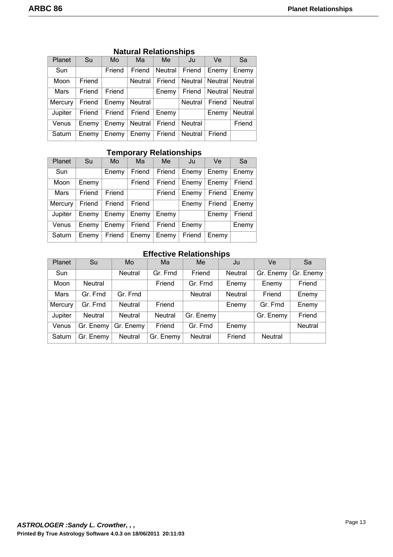| Planet  | Su     | Mo        | Ma      | Me.     | Ju      | Ve                          | Sa                   |
|---------|--------|-----------|---------|---------|---------|-----------------------------|----------------------|
| Sun     |        | Friend    | Friend  | Neutral | Friend  | Enemy                       | Enemy <sup>1</sup>   |
| Moon    | Friend |           | Neutral | Friend  |         | Neutral   Neutral   Neutral |                      |
| Mars    | Friend | Friend    |         | Enemy   | Friend  | Neutral   Neutral           |                      |
| Mercury | Friend | Enemy     | Neutral |         | Neutral | Friend                      | Neutral              |
| Jupiter | Friend | Friend    | Friend  | Enemy   |         | Enemy                       | Neutral <sup>1</sup> |
| Venus   | Enemy  | Enemy     | Neutral | Friend  | Neutral |                             | Friend               |
| Saturn  | Enemy  | Enemy $ $ | Enemy   | Friend  | Neutral | Friend                      |                      |

# **Natural Relationships**

# **Temporary Relationships**

| <b>Planet</b> | Su     | Mo     | Ma     | Me     | Ju     | Ve     | Sa     |
|---------------|--------|--------|--------|--------|--------|--------|--------|
| Sun           |        | Enemy  | Friend | Friend | Enemy  | Enemy  | Enemy  |
| Moon          | Enemy  |        | Friend | Friend | Enemy  | Enemy  | Friend |
| Mars          | Friend | Friend |        | Friend | Enemy  | Friend | Enemy  |
| Mercury       | Friend | Friend | Friend |        | Enemy  | Friend | Enemy  |
| Jupiter       | Enemy  | Enemy  | Enemy  | Enemy  |        | Enemy  | Friend |
| Venus         | Enemy  | Enemy  | Friend | Friend | Enemy  |        | Enemy  |
| Saturn        | Enemy  | Friend | Enemy  | Enemy  | Friend | Enemy  |        |

# **Effective Relationships**

| <b>Planet</b> | Su             | Mo             | Ma             | Me             | Ju             | Ve             | Sa             |
|---------------|----------------|----------------|----------------|----------------|----------------|----------------|----------------|
| Sun           |                | <b>Neutral</b> | Gr. Frnd       | Friend         | <b>Neutral</b> | Gr. Enemy      | Gr. Enemy      |
| Moon          | <b>Neutral</b> |                | Friend         | Gr. Frnd       | Enemy          | Enemy          | Friend         |
| Mars          | Gr. Frnd       | Gr. Frnd       |                | <b>Neutral</b> | <b>Neutral</b> | Friend         | Enemy          |
| Mercury       | Gr. Frnd       | <b>Neutral</b> | Friend         |                | Enemy          | Gr. Frnd       | Enemy          |
| Jupiter       | Neutral        | <b>Neutral</b> | <b>Neutral</b> | Gr. Enemy      |                | Gr. Enemy      | Friend         |
| Venus         | Gr. Enemy      | Gr. Enemy      | Friend         | Gr. Frnd       | Enemy          |                | <b>Neutral</b> |
| Saturn        | Gr. Enemy      | Neutral        | Gr. Enemy      | <b>Neutral</b> | Friend         | <b>Neutral</b> |                |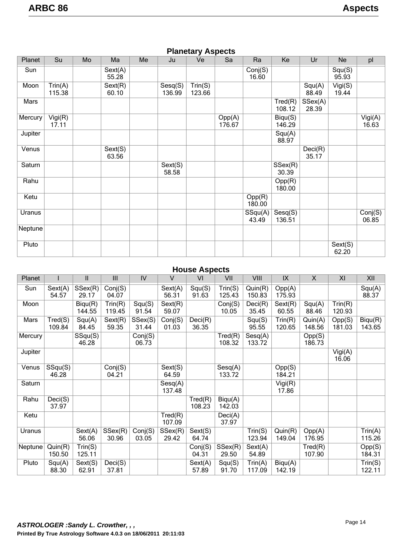| <b>Planetary Aspects</b> |                   |    |                  |    |                   |                   |                  |                  |                   |                  |                  |                    |
|--------------------------|-------------------|----|------------------|----|-------------------|-------------------|------------------|------------------|-------------------|------------------|------------------|--------------------|
| Planet                   | Su                | Mo | Ma               | Me | Ju                | Ve                | Sa               | Ra               | Ke                | Ur               | <b>Ne</b>        | pl                 |
| Sun                      |                   |    | Sext(A)<br>55.28 |    |                   |                   |                  | Conj(S)<br>16.60 |                   |                  | Squ(S)<br>95.93  |                    |
| Moon                     | Trin(A)<br>115.38 |    | Sext(R)<br>60.10 |    | Sesq(S)<br>136.99 | Trin(S)<br>123.66 |                  |                  |                   | Squ(A)<br>88.49  | Vigi(S)<br>19.44 |                    |
| Mars                     |                   |    |                  |    |                   |                   |                  |                  | Tred(R)<br>108.12 | SSex(A)<br>28.39 |                  |                    |
| Mercury                  | Vigi(R)<br>17.11  |    |                  |    |                   |                   | Opp(A)<br>176.67 |                  | Biqu(S)<br>146.29 |                  |                  | $Vigi(A)$<br>16.63 |
| Jupiter                  |                   |    |                  |    |                   |                   |                  |                  | Squ(A)<br>88.97   |                  |                  |                    |
| Venus                    |                   |    | Sext(S)<br>63.56 |    |                   |                   |                  |                  |                   | Deci(R)<br>35.17 |                  |                    |
| Saturn                   |                   |    |                  |    | Sext(S)<br>58.58  |                   |                  |                  | SSex(R)<br>30.39  |                  |                  |                    |
| Rahu                     |                   |    |                  |    |                   |                   |                  |                  | Opp(R)<br>180.00  |                  |                  |                    |
| Ketu                     |                   |    |                  |    |                   |                   |                  | Opp(R)<br>180.00 |                   |                  |                  |                    |
| Uranus                   |                   |    |                  |    |                   |                   |                  | SSqu(A)<br>43.49 | Sesq(S)<br>136.51 |                  |                  | Conj(S)<br>06.85   |
| Neptune                  |                   |    |                  |    |                   |                   |                  |                  |                   |                  |                  |                    |
| Pluto                    |                   |    |                  |    |                   |                   |                  |                  |                   |                  | Sext(S)<br>62.20 |                    |

# **Planetary Aspects**

# **House Aspects**

| Planet  |                   | Ш                 | III               | IV               | $\vee$            | VI                | VII               | VIII              | IX                | $\mathsf{X}$      | XI                | XII               |
|---------|-------------------|-------------------|-------------------|------------------|-------------------|-------------------|-------------------|-------------------|-------------------|-------------------|-------------------|-------------------|
| Sun     | Sext(A)<br>54.57  | SSex(R)<br>29.17  | Conj(S)<br>04.07  |                  | Sext(A)<br>56.31  | Squ(S)<br>91.63   | Trin(S)<br>125.43 | Quin(R)<br>150.83 | Opp(A)<br>175.93  |                   |                   | Squ(A)<br>88.37   |
| Moon    |                   | Bigu(R)<br>144.55 | Trin(R)<br>119.45 | Squ(S)<br>91.54  | Sext(R)<br>59.07  |                   | Conj(S)<br>10.05  | Deci(R)<br>35.45  | Sext(R)<br>60.55  | Squ(A)<br>88.46   | Trin(R)<br>120.93 |                   |
| Mars    | Tred(S)<br>109.84 | Squ(A)<br>84.45   | Sext(R)<br>59.35  | SSex(S)<br>31.44 | Conj(S)<br>01.03  | Deci(R)<br>36.35  |                   | Squ(S)<br>95.55   | Trin(R)<br>120.65 | Quin(A)<br>148.56 | Opp(S)<br>181.03  | Biqu(R)<br>143.65 |
| Mercury |                   | SSqu(S)<br>46.28  |                   | Conj(S)<br>06.73 |                   |                   | Tred(R)<br>108.32 | Sesq(A)<br>133.72 |                   | Opp(S)<br>186.73  |                   |                   |
| Jupiter |                   |                   |                   |                  |                   |                   |                   |                   |                   |                   | Vigi(A)<br>16.06  |                   |
| Venus   | SSqu(S)<br>46.28  |                   | Conj(S)<br>04.21  |                  | Sext(S)<br>64.59  |                   | Sesq(A)<br>133.72 |                   | Opp(S)<br>184.21  |                   |                   |                   |
| Saturn  |                   |                   |                   |                  | Sesq(A)<br>137.48 |                   |                   |                   | Vigi(R)<br>17.86  |                   |                   |                   |
| Rahu    | Deci(S)<br>37.97  |                   |                   |                  |                   | Tred(R)<br>108.23 | Biqu(A)<br>142.03 |                   |                   |                   |                   |                   |
| Ketu    |                   |                   |                   |                  | Tred(R)<br>107.09 |                   | Deci(A)<br>37.97  |                   |                   |                   |                   |                   |
| Uranus  |                   | Sext(A)<br>56.06  | SSex(R)<br>30.96  | Conj(S)<br>03.05 | SSex(R)<br>29.42  | Sext(S)<br>64.74  |                   | Trin(S)<br>123.94 | Quin(R)<br>149.04 | Opp(A)<br>176.95  |                   | Trin(A)<br>115.26 |
| Neptune | Quin(R)<br>150.50 | Trin(S)<br>125.11 |                   |                  |                   | Conj(S)<br>04.31  | SSex(R)<br>29.50  | Sext(A)<br>54.89  |                   | Tred(R)<br>107.90 |                   | Opp(S)<br>184.31  |
| Pluto   | Squ(A)<br>88.30   | Sext(S)<br>62.91  | Deci(S)<br>37.81  |                  |                   | Sext(A)<br>57.89  | Squ(S)<br>91.70   | Trin(A)<br>117.09 | Biqu(A)<br>142.19 |                   |                   | Trin(S)<br>122.11 |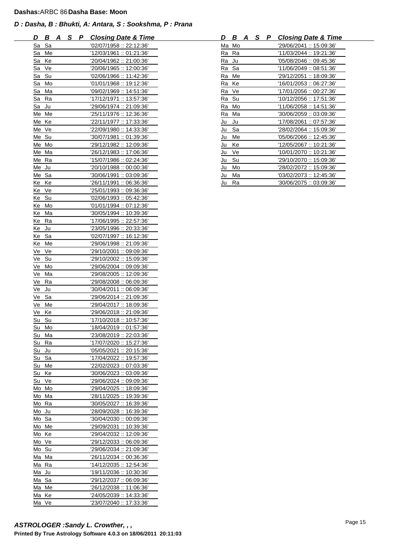| D                | B       | A S P | <b>Closing Date &amp; Time</b> |
|------------------|---------|-------|--------------------------------|
| <u>Sa</u>        | Sa      |       | '02/07/1958 :: 22:12:36'       |
| Sa               | Me      |       | '12/03/1961 :: 01:21:36'       |
| <u>Sa</u>        | Ke      |       | '20/04/1962 :: 21:00:36'       |
| Sa               | Ve      |       | '20/06/1965: 12:00:36'         |
| Sa               | Su      |       | '02/06/1966: 11:42:36'         |
| Sa               | Mo      |       | '01/01/1968 :: 19:12:36'       |
| Sa               | Ma      |       | '09/02/1969: 14:51:36'         |
| Sa               | Ra      |       | '17/12/1971 :: 13:57:36'       |
| Sa               | Ju      |       | '29/06/1974: 21:09:36'         |
| Me               | Me      |       | '25/11/1976: 12:36:36'         |
| Me               | Ke      |       | '22/11/1977 :: 17:33:36'       |
| Me               | Ve      |       | '22/09/1980:: 14:33:36'        |
| Me               | Su      |       | '30/07/1981 :: 01:39:36'       |
| Me               | Mo      |       | '29/12/1982 :: 12:09:36'       |
| Me               | Ma      |       | '26/12/1983: 17:06:36'         |
| Me               | Ra      |       | '15/07/1986: : 02:24:36'       |
| Me               | Ju      |       | '20/10/1988 :: 00:00:36'       |
| Me               | Sa      |       | '30/06/1991 :: 03:09:36'       |
| Ke               | Ke      |       | '26/11/1991 :: 06:36:36'       |
| Ke               | Ve      |       | '25/01/1993: 09:36:36'         |
| Ke               | $S_{U}$ |       | '02/06/1993: 05:42:36'         |
| Ke               | Mo      |       | '01/01/1994 :: 07:12:36'       |
| Ke               | Ma      |       | '30/05/1994 :: 10:39:36'       |
| Ke               | Ra      |       | '17/06/1995 :: 22:57:36'       |
| Ke               | Ju      |       | '23/05/1996: 20:33:36'         |
| Ke               | Sa      |       | '02/07/1997 :: 16:12:36'       |
| Ke               | Me      |       | '29/06/1998: 21:09:36'         |
| Ve               | Ve      |       | '29/10/2001 :: 09:09:36'       |
| Ve               | Su      |       | '29/10/2002 :: 15:09:36'       |
| Ve               | Mo      |       | '29/06/2004 :: 09:09:36'       |
| Ve               | Ma      |       | '29/08/2005 :: 12:09:36'       |
| Ve               | Ra      |       | '29/08/2008 :: 06:09:36'       |
| Ve               | Ju      |       | '30/04/2011 :: 06:09:36'       |
| Ve               | Sa      |       | '29/06/2014: 21:09:36'         |
| Ve               | Me      |       | '29/04/2017 :: 18:09:36'       |
| Ve               | Ke      |       | '29/06/2018: : 21:09:36'       |
| Su               | Su      |       | '17/10/2018: 10:57:36'         |
| Su               | Mo      |       | '18/04/2019: 01:57:36'         |
| <u>Su</u>        | Ma      |       | '23/08/2019: 22:03:36'         |
| Su               | Ra      |       | '17/07/2020 :: 15:27:36'       |
| Su               | Ju      |       | '05/05/2021 :: 20:15:36'       |
| Su               | Sa      |       | '17/04/2022 :: 19:57:36'       |
| Su               | Me      |       | '22/02/2023: 07:03:36'         |
| Su               | Ke      |       | '30/06/2023: 03:09:36'         |
| Su               | Ve      |       | '29/06/2024: 09:09:36'         |
| Mo               | Mo      |       | '29/04/2025: 18:09:36'         |
| Mo               | Ma      |       | '28/11/2025: 19:39:36'         |
| Mo               | Ra      |       | '30/05/2027 :: 16:39:36'       |
| Mo               | Ju      |       | '28/09/2028: 16:39:36'         |
| Mo               | Sa      |       | '30/04/2030 :: 00:09:36'       |
| Mo               | Me      |       | '29/09/2031: 10:39:36'         |
| Mo               | Ke      |       | '29/04/2032 :: 12:09:36'       |
| Mo               | Ve      |       | '29/12/2033: 06:09:36'         |
| Mo               | Su      |       | '29/06/2034: 21:09:36'         |
| Ma               | Ma      |       | '26/11/2034: : 00:36:36'       |
| Ma               | Ra      |       | '14/12/2035 :: 12:54:36'       |
| Ma               | Ju      |       | '19/11/2036: 10:30:36'         |
| Ma               | Sa      |       | '29/12/2037 :: 06:09:36'       |
| $M\underline{a}$ | Me      |       | "26/12/2038:: 11:06:36"        |
| Ma               | Ke      |       | "24/05/2039:: 14:33:36"        |
| Ma               | Ve      |       | '23/07/2040 :: 17:33:36'       |

| В<br>D | S.<br><b>Closing Date &amp; Time</b><br>A<br>P | D  | B<br>S<br>A<br>P | <b>Closing Date &amp; Time</b> |
|--------|------------------------------------------------|----|------------------|--------------------------------|
| Sa Sa  | '02/07/1958 :: 22:12:36'                       |    | Ma Mo            | '29/06/2041 :: 15:09:36'       |
| Sa Me  | '12/03/1961 :: 01:21:36'                       |    | Ra Ra            | '11/03/2044 :: 19:21:36'       |
| Sa Ke  | '20/04/1962 :: 21:00:36'                       |    | Ra Ju            | '05/08/2046 :: 09:45:36'       |
| Sa Ve  | '20/06/1965 :: 12:00:36'                       |    | Ra Sa            | '11/06/2049 :: 08:51:36'       |
| Sa Su  | '02/06/1966 :: 11:42:36'                       | Ra | Me               | '29/12/2051 :: 18:09:36'       |
| Sa Mo  | '01/01/1968 :: 19:12:36'                       |    | Ra Ke            | '16/01/2053 :: 06:27:36'       |
| Sa Ma  | '09/02/1969 :: 14:51:36'                       |    | Ra Ve            | '17/01/2056 :: 00:27:36'       |
| Sa Ra  | '17/12/1971 :: 13:57:36'                       |    | Ra Su            | '10/12/2056: 17:51:36'         |
| Sa Ju  | '29/06/1974 :: 21:09:36'                       |    | Ra Mo            | $'11/06/2058$ :: 14:51:36'     |
| Me Me  | "25/11/1976:: 12:36:36"                        |    | Ra Ma            | '30/06/2059: 03:09:36'         |
| Me Ke  | '22/11/1977 :: 17:33:36'                       | Ju | Ju               | '17/08/2061 :: 07:57:36'       |
| Me Ve  | "22/09/1980:: 14:33:36"                        | Ju | Sa               | '28/02/2064 :: 15:09:36'       |
| Me Su  | "30/07/1981 :: 01:39:36"                       | Ju | Me               | '05/06/2066 :: 12:45:36'       |
| Me Mo  | '29/12/1982 :: 12:09:36'                       | Ju | Ke               | '12/05/2067 :: 10:21:36'       |
| Me Ma  | "26/12/1983:: 17:06:36"                        | Ju | Ve               | '10/01/2070 :: 10:21:36'       |
| Me Ra  | '15/07/1986: : 02:24:36'                       | Ju | Su               | '29/10/2070 :: 15:09:36'       |
| Me Ju  | "20/10/1988 :: 00:00:36"                       | Ju | Mo               | '28/02/2072 :: 15:09:36'       |
| Me Sa  | "30/06/1991 :: 03:09:36"                       | Ju | Ma               | '03/02/2073:: 12:45:36'        |
| Ke Ke  | '26/11/1991 :: 06:36:36'                       | Ju | Ra               | '30/06/2075 :: 03:09:36'       |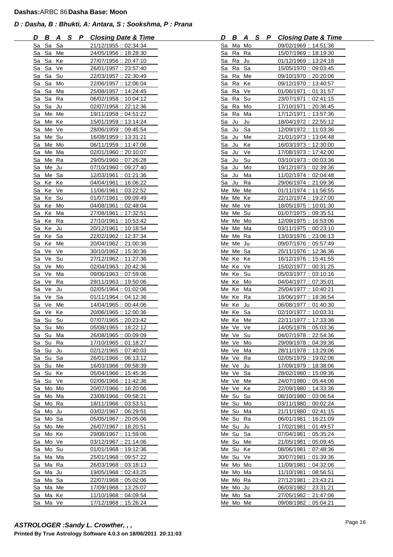| D        | B        | A        | S P | <b>Closing Date &amp; Time</b>                 | D         | B              | A        | <u>s</u> | P | <b>Closing Date &amp; Time</b>                 |
|----------|----------|----------|-----|------------------------------------------------|-----------|----------------|----------|----------|---|------------------------------------------------|
|          | Sa Sa Sa |          |     | 21/12/1955: 02:34:34                           |           |                | Sa Ma Mo |          |   | 09/02/1969:: 14:51:36                          |
|          | Sa Sa Me |          |     | 24/05/1956: 18:28:30                           |           |                | Sa Ra Ra |          |   | 15/07/1969:: 18:19:30                          |
|          | Sa Sa Ke |          |     | 27/07/1956: 20:47:10                           |           |                | Sa Ra Ju |          |   | 01/12/1969 :: 13:24:18                         |
| Sa       | Sa       | Ve       |     | 26/01/1957: 23:57:40                           | Sa        | Ra             | Sa       |          |   | 15/05/1970:: 09:03:45                          |
| Sa       | Sa       | Su       |     | 22/03/1957: 22:30:49                           | Sa        | Ra             | Me       |          |   | 09/10/1970:: 20:20:06                          |
| Sa       | Sa       | Mo       |     | 22/06/1957: 12:06:04                           | Sa        | Ra             | Ke       |          |   | 09/12/1970:: 13:40:57                          |
| Sa       | Sa       | Ma       |     | 25/08/1957: 14:24:45                           | Sa        | Ra             | Ve       |          |   | 01/06/1971::01:31:57                           |
| Sa       | Sa       | Ra       |     | 06/02/1958:: 10:04:12                          |           |                | Sa Ra Su |          |   | 23/07/1971 :: 02:41:15                         |
| Sa       | Sa Ju    |          |     | 02/07/1958: 22:12:36                           |           | Sa Ra          | Mo       |          |   | 17/10/1971 :: 20:36:45                         |
| Sa       | Me Me    |          |     | <u> 19/11/1958 :: 04:51:22</u>                 | Sa        | Ra             | Ma       |          |   | 17/12/1971:: 13:57:36                          |
| Sa       | Me Ke    |          |     | 15/01/1959:: 13:14:24                          | Sa        | Ju             | Ju       |          |   | 18/04/1972 :: 22:55:12                         |
| Sa       | Me Ve    |          |     | 28/06/1959: 09:45:54                           | Sa        | Ju             | Sa       |          |   | 12/09/1972:: 11:03:36                          |
| Sa       | Me Su    |          |     | 16/08/1959:: 13:31:21                          | Sa        | Ju             | Me       |          |   | 21/01/1973: 13:04:48                           |
| Sa       | Me Mo    |          |     | 06/11/1959:: 11:47:06                          |           | Sa Ju          | Ke       |          |   | 16/03/1973: 12:30:00                           |
| Sa       | Me Ma    |          |     | 02/01/1960:: 20:10:07                          |           | Sa Ju          | Ve       |          |   | 17/08/1973: 17:42:00                           |
| Sa       | Me Ra    |          |     | 29/05/1960:: 07:26:28                          | Sa        | Ju             | Su       |          |   | 03/10/1973:: 00:03:36                          |
| Sa       | Me Ju    |          |     | 07/10/1960: 09:27:40                           | <u>Sa</u> | Ju             | Mo       |          |   | 19/12/1973: 02:39:36                           |
| Sa       | Me Sa    |          |     | 12/03/1961 :: 01:21:36                         | Sa        | Ju             | Ma       |          |   | 11/02/1974:: 02:04:48                          |
| Sa       | Ke Ke    |          |     | 04/04/1961 :: 16:06:22                         | Sa        | Ju             | Ra       |          |   | 29/06/1974:: 21:09:36                          |
| Sa       | Ke Ve    |          |     | 11/06/1961: 03:22:52                           |           |                | Me Me Me |          |   | 01/11/1974: 11:56:55                           |
| Sa       | Ke Su    |          |     | 01/07/1961: 09:09:49                           |           |                | Me Me Ke |          |   | 22/12/1974:: 19:27:00                          |
| Sa       | Ke Mo    |          |     | 04/08/1961 :: 02:48:04                         |           |                | Me Me Ve |          |   | 18/05/1975 :: 10:01:30                         |
| Sa       | Ke       | Ma       |     | 27/08/1961 :: 17:32:51                         |           |                | Me Me Su |          |   | 01/07/1975::09:35:51                           |
| Sa       | Ke       | Ra       |     | 27/10/1961: 10:53:42                           |           |                | Me Me Mo |          |   | 12/09/1975:: 16:53:06                          |
| Sa       | Ke Ju    |          |     | 20/12/1961 :: 10:18:54                         |           |                | Me Me Ma |          |   | 03/11/1975: : 00:23:10                         |
| Sa       | Ke Sa    |          |     | 22/02/1962: 12:37:34                           |           |                | Me Me Ra |          |   | 13/03/1976: 23:06:13                           |
| Sa       | Ke Me    |          |     | 20/04/1962: 21:00:36                           |           |                | Me Me Ju |          |   | 09/07/1976:: 05:57:49                          |
| Sa       | Ve Ve    |          |     | 30/10/1962: 15:30:36                           |           |                | Me Me Sa |          |   | 25/11/1976: 12:36:36                           |
| Sa       | Ve       | Su       |     | 27/12/1962:: 11:27:36                          |           | Me Ke          | Ke       |          |   | 16/12/1976: 15:41:55                           |
| Sa       | Ve       | Mo       |     | 02/04/1963: 20:42:36                           |           |                | Me Ke Ve |          |   | 15/02/1977 :: 00:31:25                         |
| Sa       | Ve       | Ma       |     | 09/06/1963: 07:59:06                           |           | Me Ke          | Su       |          |   | 05/03/1977 :: 03:10:16                         |
| Sa       | Ve<br>Ve | Ra<br>Ju |     | 29/11/1963: 19:50:06                           |           | Me Ke<br>Me Ke | Mo<br>Ma |          |   | 04/04/1977 :: 07:35:01                         |
| Sa       | Ve       | Sa       |     | 02/05/1964: 01:02:06<br>01/11/1964: : 04:12:36 |           |                | Me Ke Ra |          |   | 25/04/1977 :: 10:40:21                         |
| Sa       | Ve       | Me       |     |                                                |           | Me Ke          |          |          |   | 18/06/1977 :: 18:36:54                         |
| Sa<br>Sa | Ve Ke    |          |     | 14/04/1965:: 00:44:06                          |           | Me Ke          | Ju<br>Sa |          |   | 06/08/1977 :: 01:40:30                         |
| Sa       | Su Su    |          |     | 20/06/1965: 12:00:36<br>07/07/1965: 20:23:42   |           |                | Me Ke Me |          |   | 02/10/1977: 10:03:31<br>22/11/1977 :: 17:33:36 |
|          | Sa Su Mo |          |     | 05/08/1965: 18:22:12                           |           |                | Me Ve Ve |          |   | 14/05/1978: 05:03:36                           |
|          | Sa Su Ma |          |     | 26/08/1965: 00:09:09                           |           |                | Me Ve Su |          |   | 04/07/1978: 22:54:36                           |
|          | Sa Su Ra |          |     | 17/10/1965:: 01:18:27                          |           |                | Me Ve Mo |          |   | 29/09/1978:: 04:39:36                          |
|          | Sa Su Ju |          |     | 02/12/1965: 07:40:03                           |           | Me Ve          | Ma       |          |   | 28/11/1978:: 13:29:06                          |
| Sa       | Su       | Sa       |     | 26/01/1966: 06:13:12                           |           |                | Me Ve Ra |          |   | 02/05/1979:: 19:02:06                          |
| Sa       | Su       | Me       |     | 16/03/1966: 09:58:39                           |           |                | Me Ve Ju |          |   | 17/09/1979:: 18:38:06                          |
| Sa       | Su       | Ke       |     | 05/04/1966: 15:45:36                           |           |                | Me Ve Sa |          |   | 28/02/1980:: 15:09:36                          |
| Sa       | Su Ve    |          |     | 02/06/1966: 11:42:36                           |           | Me Ve          | Me       |          |   | 24/07/1980:: 05:44:06                          |
| Sa       |          | Mo Mo    |     | 20/07/1966: 16:20:06                           |           |                | Me Ve Ke |          |   | 22/09/1980:: 14:33:36                          |
| Sa       | Mo Ma    |          |     | 23/08/1966: 09:58:21                           |           |                | Me Su Su |          |   | 08/10/1980:: 03:06:54                          |
| Sa       | Mo Ra    |          |     | 18/11/1966: 03:53:51                           |           | Me Su          | Mo       |          |   | 03/11/1980:: 00:02:24                          |
| Sa       | Mo Ju    |          |     | 03/02/1967: 06:29:51                           |           | Me Su          | Ma       |          |   | 21/11/1980:: 02:41:15                          |
| Sa       | Mo Sa    |          |     | 05/05/1967 :: 20:05:06                         |           |                | Me Su Ra |          |   | 06/01/1981 :: 16:21:09                         |
| Sa       |          | Mo Me    |     | 26/07/1967: 18:20:51                           |           |                | Me Su Ju |          |   | 17/02/1981: 01:49:57                           |
| Sa       | Mo Ke    |          |     | 29/08/1967: 11:59:06                           |           |                | Me Su Sa |          |   | 07/04/1981: 05:35:24                           |
| Sa       | Mo Ve    |          |     | 03/12/1967: 21:14:06                           |           | Me Su          | Me       |          |   | 21/05/1981 :: 05:09:45                         |
| Sa       | Mo Su    |          |     | 01/01/1968: 19:12:36                           |           | Me Su          | Ke       |          |   | 08/06/1981: 07:48:36                           |
| Sa       |          | Ma Ma    |     | 25/01/1968: 09:57:22                           |           |                | Me Su Ve |          |   | 30/07/1981:: 01:39:36                          |
| Sa       | Ma Ra    |          |     | 26/03/1968: 03:18:13                           |           |                | Me Mo Mo |          |   | 11/09/1981 :: 04:32:06                         |
| Sa       | Ma Ju    |          |     | 19/05/1968: 02:43:25                           |           |                | Me Mo Ma |          |   | 11/10/1981:: 08:56:51                          |
| Sa       | Ma Sa    |          |     | 22/07/1968: 05:02:06                           |           |                | Me Mo Ra |          |   | 27/12/1981: 23:43:21                           |
| Sa       | Ma Me    |          |     | 17/09/1968: 13:25:07                           |           |                | Me Mo Ju |          |   | 06/03/1982: 23:31:21                           |
| Sa       | Ma Ke    |          |     | 11/10/1968: 04:09:54                           |           |                | Me Mo Sa |          |   | 27/05/1982: 21:47:06                           |
| Sa       | Ma Ve    |          |     | 17/12/1968: 15:26:24                           |           |                | Me Mo Me |          |   | 09/08/1982: 05:04:21                           |

| D                |                     |                     | <b>B A S P Closing Date &amp; Time</b> |
|------------------|---------------------|---------------------|----------------------------------------|
| Sa               | Ma Mo               |                     | 09/02/1969 :: 14:51:36                 |
| Sa               | Ra                  | Ra                  | 15/07/1969:: 18:19:30                  |
| Sa               | Ra                  | Ju                  | 01/12/1969: 13:24:18                   |
| Sa               | Ra                  | Sa                  | 15/05/1970: 09:03:45                   |
| Sa               | Ra Me               |                     | 09/10/1970: 20:20:06                   |
| Sa               | Ra                  | Ke                  | 09/12/1970:: 13:40:57                  |
| Sa               | Ra                  | Ve                  | 01/06/1971 :: 01:31:57                 |
| Sa               | Ra                  | Su                  | 23/07/1971:: 02:41:15                  |
| Sa               | Ra                  | Mo                  | 17/10/1971: 20:36:45                   |
| Sa               | Ra                  | Ma                  | 17/12/1971 :: 13:57:36                 |
| Sa               | Ju                  | Ju                  | 18/04/1972 :: 22:55:12                 |
| S <u>a</u>       | Ju                  | Sa                  | 12/09/1972 :: 11:03:36                 |
| S <u>a</u>       | Ju                  | Me                  | 21/01/1973:: 13:04:48                  |
| <u>Sa</u>        | Ju                  | Ke                  | 16/03/1973: 12:30:00                   |
| Sa               | Ju                  | Ve                  | 17/08/1973: 17:42:00                   |
| Sa               | Ju                  | $S_{\underline{u}}$ | 03/10/1973:: 00:03:36                  |
| Sa               |                     | Mo                  | 19/12/1973: 02:39:36                   |
|                  | Ju<br>Ju Ma         |                     | 11/02/1974: 02:04:48                   |
| Sa               |                     |                     |                                        |
|                  | Sa Ju Ra            |                     | 29/06/1974: 21:09:36                   |
| Me               | Me Me               |                     | 01/11/1974: 11:56:55                   |
| Me               | Me                  | Ke                  | 22/12/1974 :: 19:27:00                 |
| Me               | Me Ve               |                     | 18/05/1975:: 10:01:30                  |
| Me               | Me Su               |                     | 01/07/1975 :: 09:35:51                 |
| Me               | Me                  | Mo                  | <u> 12/09/1975 :: 16:53:06</u>         |
| Me               | Me                  | Ma                  | 03/11/1975: : 00:23:10                 |
| Me               | Me                  | Ra                  | 13/03/1976: 23:06:13                   |
| Me               | Me                  | Ju                  | 09/07/1976: : 05:57:49                 |
|                  | Me Me Sa            |                     | 25/11/1976: 12:36:36                   |
| Me               | Ke                  | Ke                  | 16/12/1976: 15:41:55                   |
|                  | Me Ke Ve            |                     | 15/02/1977: 00:31:25                   |
|                  | Me Ke               | Su                  | 05/03/1977: 03:10:16                   |
| Me Ke            |                     | Mo                  | 04/04/1977 :: 07:35:01                 |
|                  | Me Ke               | Ma                  | 25/04/1977 :: 10:40:21                 |
|                  | Me Ke               | Ra                  | 18/06/1977 :: 18:36:54                 |
|                  | Me Ke               | Ju                  | 06/08/1977 :: 01:40:30                 |
|                  | Me Ke Sa            |                     | 02/10/1977 :: 10:03:31                 |
|                  | Me Ke               | Me                  | 22/11/1977 :: 17:33:36                 |
| Me Ve            |                     | Ve                  | 14/05/1978: 05:03:36                   |
| Me               | Ve                  | $S_{\underline{u}}$ | 04/07/1978 :: 22:54:36                 |
| Me               | Ve                  | Mo                  | 29/09/1978:: 04:39:36                  |
| Me               | Ve                  | Ma                  | 28/11/1978:: 13:29:06                  |
| Me               | Ve                  | Ra                  | 02/05/1979: 19:02:06                   |
| Me               | Ve                  | Ju                  | 17/09/1979: 18:38:06                   |
| Me               | Ve                  | Sa                  | 28/02/1980: 15:09:36                   |
| Me               | V <sub>e</sub>      | Me                  | 24/07/1980: 05:44:06                   |
| Me               | Ve                  | Ke                  | 22/09/1980:: 14:33:36                  |
| Me               | Su                  | Su                  | 08/10/1980: 03:06:54                   |
| Me               | Su                  | Mo                  | 03/11/1980 :: 00:02:24                 |
| Me Su            |                     | Ma                  | <u> 21/11/1980 :: 02:41:15</u>         |
| Me               | $S_{\underline{u}}$ | Ra                  | 06/01/1981: 16:21:09                   |
| Me               | Su                  | Ju                  | 17/02/1981: 01:49:57                   |
| Me               | Su                  | Sa                  | 07/04/1981 :: 05:35:24                 |
| Me               | Su                  | Me                  | 21/05/1981: 05:09:45                   |
| $M\underline{e}$ | Su                  | Ke                  | 08/06/1981: 07:48:36                   |
| Me               | Su                  | Ve                  | 30/07/1981: 01:39:36                   |
| Me               | Mo                  | Mo                  | 11/09/1981:: 04:32:06                  |
| Me               | Mo                  | Ma                  | 11/10/1981: 08:56:51                   |
| Me               | Mo                  | Ra                  | 27/12/1981: 23:43:21                   |
| Me               | Mo                  | Ju                  |                                        |
| Me               | Mo                  | Sa                  | 06/03/1982 :: 23:31:21                 |
|                  |                     |                     | 27/05/1982 :: 21:47:06                 |
| Me               | Mo                  | Me                  | 09/08/1982: 05:04:21                   |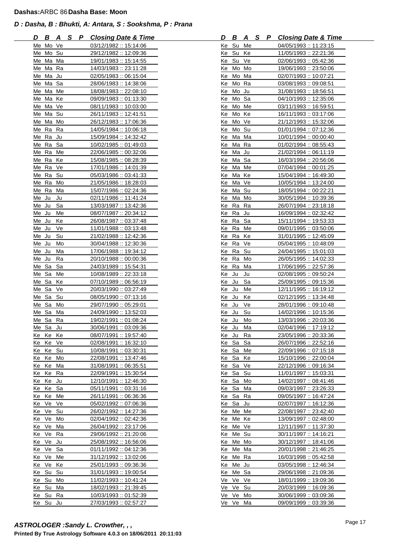| D     | <u>B A</u> |    | <u>SP</u> | <b>Closing Date &amp; Time</b> | D     | B        | <u>A</u> | <u>_S</u> | P Closing Date & Time  |
|-------|------------|----|-----------|--------------------------------|-------|----------|----------|-----------|------------------------|
|       | Me Mo Ve   |    |           | 03/12/1982: 15:14:06           |       | Ke Su Me |          |           | 04/05/1993:: 11:23:15  |
|       | Me Mo Su   |    |           | 29/12/1982: 12:09:36           |       | Ke Su Ke |          |           | 11/05/1993: 22:21:36   |
| Me    | Ma Ma      |    |           | 19/01/1983: 15:14:55           | Ke    | Su       | Ve       |           | 02/06/1993: 05:42:36   |
|       | Me Ma Ra   |    |           | 14/03/1983: 23:11:28           |       | Ke Mo Mo |          |           | 19/06/1993: 23:50:06   |
|       | Me Ma Ju   |    |           | 02/05/1983: 06:15:04           | Ke    | Mo Ma    |          |           | 02/07/1993:: 10:07:21  |
|       | Me Ma Sa   |    |           | 28/06/1983: 14:38:06           | Ke    | Mo Ra    |          |           | 03/08/1993:: 09:08:51  |
|       | Me Ma Me   |    |           | 18/08/1983: 22:08:10           |       | Ke Mo Ju |          |           | 31/08/1993:: 18:56:51  |
|       | Me Ma Ke   |    |           | 09/09/1983:: 01:13:30          | Ke    | Mo Sa    |          |           | 04/10/1993 :: 12:35:06 |
|       | Me Ma Ve   |    |           | 08/11/1983:: 10:03:00          | Ke    | Mo       | Me       |           | 03/11/1993 :: 16:59:51 |
|       | Me Ma Su   |    |           | 26/11/1983:: 12:41:51          | Ke    | Mo Ke    |          |           | 16/11/1993: 03:17:06   |
|       | Me Ma Mo   |    |           | 26/12/1983: 17:06:36           | Ke    | Mo Ve    |          |           | 21/12/1993:: 15:32:06  |
|       | Me Ra      | Ra |           | 14/05/1984: 10:06:18           |       | Ke Mo Su |          |           | 01/01/1994: : 07:12:36 |
|       | Me Ra Ju   |    |           | 15/09/1984: 14:32:42           |       | Ke Ma Ma |          |           | 10/01/1994: : 00:00:40 |
|       | Me Ra Sa   |    |           | 10/02/1985: 01:49:03           |       | Ke Ma Ra |          |           | 01/02/1994::08:55:43   |
|       | Me Ra Me   |    |           | 22/06/1985:: 00:32:06          | Ke    | Ma Ju    |          |           | 21/02/1994:: 06:11:19  |
| Me Ra |            | Ke |           | 15/08/1985: 08:28:39           | Ke    | Ma Sa    |          |           | 16/03/1994: 20:56:06   |
|       | Me Ra Ve   |    |           | 17/01/1986 :: 14:01:39         | Ke    | Ma Me    |          |           | 07/04/1994:: 00:01:25  |
|       | Me Ra      | Su |           | 05/03/1986: 03:41:33           |       | Ke Ma Ke |          |           | 15/04/1994: 16:49:30   |
|       | Me Ra Mo   |    |           | 21/05/1986: 18:28:03           |       | Ke Ma Ve |          |           | 10/05/1994:: 13:24:00  |
|       | Me Ra Ma   |    |           | 15/07/1986: 02:24:36           |       | Ke Ma Su |          |           | 18/05/1994:: 00:22:21  |
| Me Ju |            | Ju |           | <u>02/11/1986 :: 11:41:24</u>  |       | Ke Ma Mo |          |           | 30/05/1994:: 10:39:36  |
| Me Ju |            | Sa |           | 13/03/1987: 13:42:36           | Ke    | Ra       | Ra       |           | 26/07/1994: 23:18:18   |
| Me Ju |            | Me |           | 08/07/1987: 20:34:12           |       | Ke Ra Ju |          |           | 16/09/1994: 02:32:42   |
| Me Ju |            | Ke |           | 26/08/1987: 03:37:48           |       | Ke Ra    | Sa       |           | 15/11/1994:: 19:53:33  |
| Me Ju |            | Ve |           | 11/01/1988: 03:13:48           |       | Ke Ra    | Me       |           | 09/01/1995:: 03:50:06  |
| Me Ju |            | Su |           | 21/02/1988: 12:42:36           |       | Ke Ra Ke |          |           | 31/01/1995: 12:45:09   |
| Me Ju |            | Mo |           | 30/04/1988: 12:30:36           | Ke Ra |          | Ve       |           | 05/04/1995:: 10:48:09  |
| Me Ju |            | Ma |           | 17/06/1988: 19:34:12           | Ke    | Ra       | Su       |           | 24/04/1995:: 15:01:03  |
| Me Ju |            | Ra |           | 20/10/1988: 00:00:36           | Ke Ra |          | Mo       |           | 26/05/1995:: 14:02:33  |
| Me Sa |            | Sa |           | 24/03/1989:: 15:54:31          | Ke    | Ra       | Ma       |           | 17/06/1995:: 22:57:36  |
| Me Sa |            | Me |           | 10/08/1989: 22:33:18           | Ke Ju |          | Ju       |           | 02/08/1995:: 09:50:24  |
| Me Sa |            | Ke |           | 07/10/1989:: 06:56:19          | Ke Ju |          | Sa       |           | 25/09/1995:: 09:15:36  |
| Me Sa |            | Ve |           | 20/03/1990:: 03:27:49          | Ke Ju |          | Me       |           | 12/11/1995:: 16:19:12  |
| Me Sa |            | Su |           | 08/05/1990 :: 07:13:16         | Ke    | Ju       | Ke       |           | 02/12/1995 :: 13:34:48 |
| Me Sa |            | Mo |           | 29/07/1990:: 05:29:01          | Ke    | Ju       | Ve       |           | 28/01/1996:: 09:10:48  |
| Me Sa |            | Ma |           | 24/09/1990:: 13:52:03          | Ke Ju |          | Su       |           | 14/02/1996:: 10:15:36  |
| Me Sa |            | Ra |           | 19/02/1991 :: 01:08:24         | Ke Ju |          | Mo       |           | 13/03/1996: 20:03:36   |
|       | Me Sa Ju   |    |           | 30/06/1991: 03:09:36           | Ke Ju |          | Ma       |           | 02/04/1996:: 17:19:12  |
|       | Ke Ke Ke   |    |           | 08/07/1991: 19:57:40           |       | Ke Ju Ra |          |           | 23/05/1996:: 20:33:36  |
| Ke    | Ke Ve      |    |           | 02/08/1991 :: 16:32:10         | Ke Sa |          | Sa       |           | 26/07/1996: 22:52:16   |
| Ke    | Ke Su      |    |           | 10/08/1991 :: 03:30:31         | Ke Sa |          | Me       |           | 22/09/1996:: 07:15:18  |
| Ke    | Ke         | Mo |           | 22/08/1991: 13:47:46           | Ke Sa |          | Ke       |           | 15/10/1996: 22:00:04   |
| Ke    | Ke         | Ma |           | 31/08/1991: 06:35:51           | Ke Sa |          | Ve       |           | 22/12/1996:: 09:16:34  |
| Ke    | Ke         | Ra |           | 22/09/1991: 15:30:54           | Ke Sa |          | Su       |           | 11/01/1997: 15:03:31   |
|       | Ke Ke Ju   |    |           | 12/10/1991 :: 12:46:30         | Ke Sa |          | Mo       |           | 14/02/1997:: 08:41:46  |
|       | Ke Ke Sa   |    |           | 05/11/1991:: 03:31:16          | Ke Sa |          | Ma       |           | 09/03/1997: 23:26:33   |
| Ke Ke |            | Me |           | 26/11/1991: 06:36:36           | Ke Sa |          | Ra       |           | 09/05/1997 :: 16:47:24 |
|       | Ke Ve Ve   |    |           | 05/02/1992:: 07:06:36          |       | Ke Sa    | Ju       |           | 02/07/1997:: 16:12:36  |
|       | Ke Ve Su   |    |           | 26/02/1992:: 14:27:36          |       | Ke Me Me |          |           | 22/08/1997 :: 23:42:40 |
|       | Ke Ve Mo   |    |           | 02/04/1992 :: 02:42:36         |       | Ke Me Ke |          |           | 13/09/1997: 02:48:00   |
|       | Ke Ve Ma   |    |           | 26/04/1992 :: 23:17:06         |       | Ke Me Ve |          |           | 12/11/1997:: 11:37:30  |
|       | Ke Ve Ra   |    |           | 29/06/1992: 21:20:06           |       | Ke Me Su |          |           | 30/11/1997:: 14:16:21  |
|       | Ke Ve Ju   |    |           | 25/08/1992: 16:56:06           | Ke    | Me Mo    |          |           | 30/12/1997: 18:41:06   |
| Ke    | Ve Sa      |    |           | 01/11/1992: 04:12:36           |       | Ke Me Ma |          |           | 20/01/1998: 21:46:25   |
|       | Ke Ve      | Me |           | 31/12/1992 :: 13:02:06         |       | Ke Me Ra |          |           | 16/03/1998: 05:42:58   |
|       | Ke Ve      | Ke |           | 25/01/1993:: 09:36:36          |       | Ke Me Ju |          |           | 03/05/1998:: 12:46:34  |
|       | Ke Su      | Su |           | 31/01/1993: 19:00:54           |       | Ke Me Sa |          |           | 29/06/1998:: 21:09:36  |
|       | Ke Su Mo   |    |           | 11/02/1993:: 10:41:24          |       | Ve Ve Ve |          |           | 18/01/1999:: 19:09:36  |
| Ke Su |            | Ma |           | 18/02/1993:: 21:39:45          |       | Ve Ve Su |          |           | 20/03/1999:: 16:09:36  |
| Ke Su |            | Ra |           | 10/03/1993:: 01:52:39          | Ve Ve |          | Mo       |           | 30/06/1999 :: 03:09:36 |
|       | Ke Su Ju   |    |           | 27/03/1993: 02:57:27           |       | Ve Ve    | Ma       |           | 09/09/1999 :: 03:39:36 |

| D         | <u>B</u>  |                     |  | A S P Closing Date & Time                                |
|-----------|-----------|---------------------|--|----------------------------------------------------------|
| Ke        |           | Su Me               |  | 04/05/1993:: 11:23:15                                    |
| Ke        | Su Ke     |                     |  | 11/05/1993: 22:21:36                                     |
| Ke        | Su Ve     |                     |  | 02/06/1993: 05:42:36                                     |
| Ke        |           | Mo Mo               |  | 19/06/1993: 23:50:06                                     |
| Ke        |           | Mo Ma               |  | 02/07/1993:: 10:07:21                                    |
| Ke        | Mo Ra     |                     |  | 03/08/1993: 09:08:51                                     |
| Ke        | Mo        | Ju                  |  | 31/08/1993:: 18:56:51                                    |
| Ke        | Mo        | Sa                  |  | 04/10/1993:: 12:35:06                                    |
| Ke        |           |                     |  |                                                          |
|           |           | Mo Me               |  | 03/11/1993 :: 16:59:51                                   |
| <u>Ke</u> | Mo Ke     |                     |  | 16/11/1993: 03:17:06                                     |
| Ke        | Mo Ve     |                     |  | 21/12/1993:: 15:32:06                                    |
| Ke        | Mo Su     |                     |  | 01/01/1994:: 07:12:36                                    |
| <u>Ke</u> |           | Ma Ma               |  | 10/01/1994: 00:00:40                                     |
| Ke        | Ma Ra     |                     |  | 01/02/1994: 08:55:43                                     |
| Ke        | Ma Ju     |                     |  | 21/02/1994: 06:11:19                                     |
| Ke        | Ma Sa     |                     |  | 16/03/1994: 20:56:06                                     |
| <u>Ke</u> |           | Ma Me               |  | 07/04/1994: : 00:01:25                                   |
| Ke        | Ma Ke     |                     |  | 15/04/1994: 16:49:30                                     |
| Ke        | Ma Ve     |                     |  | 10/05/1994 :: 13:24:00                                   |
| Ke        | Ma        | Su                  |  | 18/05/1994 :: 00:22:21                                   |
| Ke        |           | Ma Mo               |  | 30/05/1994:: 10:39:36                                    |
| Ke        | Ra        | Ra                  |  | 26/07/1994 :: 23:18:18                                   |
| Ke        | Ra        | Ju                  |  | 16/09/1994: 02:32:42                                     |
| Кe        | Ra        | Sa                  |  | 15/11/1994: 19:53:33                                     |
| Ke        | Ra        | Me                  |  |                                                          |
|           |           |                     |  | 09/01/1995:: 03:50:06<br>31/01/1995: 12:45:09            |
| Ke        | Ra        | Ke                  |  |                                                          |
| Ke        | Ra        | Ve                  |  | 05/04/1995: 10:48:09                                     |
| Ke        | Ra        | Su                  |  | 24/04/1995: 15:01:03                                     |
| Ke        | Ra        | Mo                  |  | 26/05/1995: 14:02:33                                     |
| Ke        | Ra        | Ma                  |  | 17/06/1995: 22:57:36                                     |
| Ke        | Ju        | Ju                  |  | 02/08/1995:: 09:50:24                                    |
| <u>Ke</u> | Ju        | Sa                  |  | 25/09/1995: 09:15:36                                     |
| Ke        | Ju        | Me                  |  | <u> 12/11/1995 :: 16:19:12</u>                           |
| Ke        | Ju        | Ke                  |  | 02/12/1995:: 13:34:48                                    |
| Ke        | Ju        | Ve                  |  | 28/01/1996: 09:10:48                                     |
| <u>Ke</u> | <u>Ju</u> | Su                  |  | 14/02/1996:: 10:15:36                                    |
| Ke        | Ju        | Mo                  |  | 13/03/1996: 20:03:36                                     |
| Ke        | Ju        | Ma                  |  | 02/04/1996:: 17:19:12                                    |
| Ke        | $u$       | Ra                  |  | 23/05/1996: 20:33:36                                     |
| Ke        | Sa        | Sa                  |  | 26/07/1996: 22:52:16                                     |
| Ke        | Sa        | Me                  |  | 22/09/1996 :: 07:15:18                                   |
| Ke        | Sa        | Ke                  |  | 15/10/1996: 22:00:04                                     |
|           |           |                     |  |                                                          |
| <u>Ке</u> | Sa        | Ve                  |  | 22/12/1996:: 09:16:34                                    |
| Ke        | Sa        | Su                  |  | 11/01/1997:: 15:03:31                                    |
| Ke        | Sa        | Mo                  |  | 14/02/1997: 08:41:46                                     |
| Ke        | Sa        | Ma                  |  | 09/03/1997: 23:26:33                                     |
| Ke        | Sa        | Ra                  |  | 09/05/1997: 16:47:24                                     |
| Ke        | Sa        | Ju                  |  | 02/07/1997:: 16:12:36                                    |
| Ke        | Me        | Me                  |  | 22/08/1997: 23:42:40                                     |
| Ke        | Me        | Ke                  |  | 13/09/1997: 02:48:00                                     |
| Ke        | Me        | Ve                  |  | 12/11/1997:: 11:37:30                                    |
| Ke        | Me        | Su                  |  | 30/11/1997: 14:16:21                                     |
| Ke        | Me        | Mo                  |  | 30/12/1997: 18:41:06                                     |
| Ke        | Me        | Ma                  |  | 20/01/1998: 21:46:25                                     |
| Ke        | Me        | Ra                  |  | 16/03/1998: 05:42:58                                     |
| Ke        | Me        | Ju                  |  | 03/05/1998:: 12:46:34                                    |
| Ke        | Me        | Sa                  |  | 29/06/1998: 21:09:36                                     |
| Ve        | Ve        | Ve                  |  |                                                          |
|           | Ve        | $S_{\underline{u}}$ |  | <u> 18/01/1999 :: 19:09:36</u><br>20/03/1999 :: 16:09:36 |
| Ve        |           |                     |  |                                                          |
| Ve        | Ve        | Mo                  |  | 30/06/1999:: 03:09:36                                    |
| Ve        | Ve        | Ma                  |  | 09/09/1999:: 03:39:36                                    |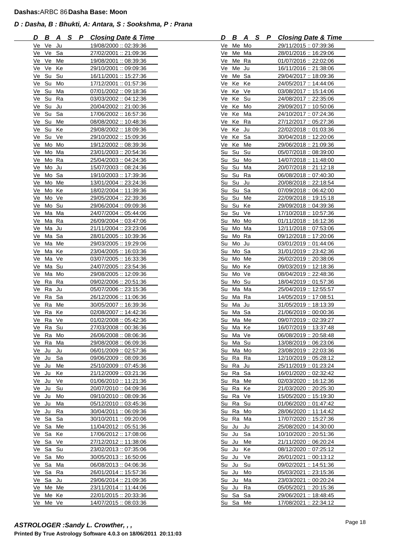| D              | <u>B A</u> |          | S P | <b>Closing Date &amp; Time</b>                | D     | В                    | <u>A</u> | <u>s</u> | P Closing Date & Time                           |
|----------------|------------|----------|-----|-----------------------------------------------|-------|----------------------|----------|----------|-------------------------------------------------|
|                | Ve Ve Ju   |          |     | 19/08/2000: 02:39:36                          |       | Ve Me Mo             |          |          | 29/11/2015:: 07:39:36                           |
|                | Ve Ve Sa   |          |     | 27/02/2001: 21:09:36                          |       | Ve Me Ma             |          |          | 28/01/2016: 16:29:06                            |
| Ve             | Ve         | Me       |     | 19/08/2001: 08:39:36                          | Ve    | Me Ra                |          |          | 01/07/2016: 22:02:06                            |
| Ve             | Ve         | Ke       |     | 29/10/2001 :: 09:09:36                        | Ve    | Me Ju                |          |          | 16/11/2016: 21:38:06                            |
| Ve             | Su         | Su       |     | 16/11/2001 :: 15:27:36                        | Ve    | Me Sa                |          |          | 29/04/2017:: 18:09:36                           |
| Ve             | Su         | Mo       |     | 17/12/2001: 01:57:36                          | Ve    | Ke                   | Ke       |          | 24/05/2017: 14:44:06                            |
| Ve             | Su         | Ma       |     | 07/01/2002:: 09:18:36                         | Ve Ke |                      | Ve       |          | 03/08/2017: 15:14:06                            |
|                | Ve Su      | Ra       |     | 03/03/2002 :: 04:12:36                        | Ve    | Ke                   | Su       |          | 24/08/2017 :: 22:35:06                          |
| Ve             | Su         | Ju       |     | 20/04/2002 :: 21:00:36                        | Ve    | Ke                   | Mo       |          | 29/09/2017 :: 10:50:06                          |
| Ve             | Su         | Sa       |     | 17/06/2002: 16:57:36                          | Ve    | Ke                   | Ma       |          | 24/10/2017: 07:24:36                            |
| Ve             | Su Me      |          |     | 08/08/2002 :: 10:48:36                        | Ve    | Ke                   | Ra       |          | 27/12/2017:: 05:27:36                           |
| Ve             | Su Ke      |          |     | 29/08/2002: 18:09:36                          | Ve Ke |                      | Ju       |          | 22/02/2018:: 01:03:36                           |
|                | Ve Su Ve   |          |     | 29/10/2002: 15:09:36                          | Ve    | Ke Sa                |          |          | 30/04/2018: 12:20:06                            |
| Ve             | Mo Mo      |          |     | 19/12/2002: 08:39:36                          |       | Ve Ke Me             |          |          | 29/06/2018: 21:09:36                            |
| Ve             | Mo Ma      |          |     | 23/01/2003: 20:54:36                          | Su    | Su                   | Su       |          | 05/07/2018: 08:39:00                            |
| Ve             | Mo Ra      |          |     | 25/04/2003: 04:24:36                          | Su    | Su                   | Mo       |          | 14/07/2018: 11:48:00                            |
| Ve             | Mo Ju      |          |     | 15/07/2003: 08:24:36                          | Su Su |                      | Ma       |          | 20/07/2018:: 21:12:18                           |
| Ve             | Mo Sa      |          |     | 19/10/2003: 17:39:36                          | Su Su |                      | Ra       |          | 06/08/2018: 07:40:30                            |
| Ve             | Mo Me      |          |     | 13/01/2004 :: 23:24:36                        | Su Su |                      | Ju       |          | 20/08/2018: 22:18:54                            |
| Ve             | Mo Ke      |          |     | 18/02/2004: 11:39:36                          | Su Su |                      | Sa       |          | 07/09/2018: 06:42:00                            |
| Ve             | Mo Ve      |          |     | 29/05/2004: 22:39:36                          | Su Su |                      | Me       |          | <u> 22/09/2018 :: 19:15:18</u>                  |
| Ve             | Mo Su      |          |     | 29/06/2004 :: 09:09:36                        | Su    | Su                   | Ke       |          | 29/09/2018:: 04:39:36                           |
| Ve             | Ma Ma      |          |     | 24/07/2004: 05:44:06                          |       | Su Su                | Ve       |          | 17/10/2018:: 10:57:36                           |
| Ve             | Ma Ra      |          |     | 26/09/2004: 03:47:06                          | Su    | Mo Mo                |          |          | 01/11/2018:: 16:12:36                           |
| Ve             | Ma Ju      |          |     | 21/11/2004: 23:23:06                          |       | Su Mo Ma             |          |          | 12/11/2018:: 07:53:06                           |
| Ve             | Ma Sa      |          |     | 28/01/2005:: 10:39:36                         |       | Su Mo Ra             |          |          | 09/12/2018: 17:20:06                            |
| Ve             | Ma Me      |          |     | 29/03/2005: 19:29:06                          | Su    | Mo Ju                |          |          | 03/01/2019:: 01:44:06                           |
| Ve             | Ma Ke      |          |     | 23/04/2005: 16:03:36                          | Su    | Mo Sa                |          |          | 31/01/2019: 23:42:36                            |
| Ve             | Ma Ve      |          |     | 03/07/2005: 16:33:36                          | Su    | Mo Me                |          |          | 26/02/2019: 20:38:06                            |
| Ve             | Ma         | Su       |     | 24/07/2005: 23:54:36                          | Su    | Mo Ke                |          |          | 09/03/2019:: 12:18:36                           |
| Ve             | Ma Mo      |          |     | 29/08/2005: 12:09:36                          | Su    | Mo Ve                |          |          | 08/04/2019: 22:48:36                            |
| Ve             | Ra         | Ra       |     | 09/02/2006: 20:51:36                          | Su    | Mo Su                |          |          | 18/04/2019: 01:57:36                            |
| Ve             | Ra Ju      |          |     | 05/07/2006 :: 23:15:36                        |       | Su Ma Ma             |          |          | 25/04/2019:: 12:55:57                           |
| Ve             | Ra         | Sa       |     |                                               | Su    | Ma Ra                |          |          |                                                 |
| Ve             | Ra         | Me       |     | 26/12/2006:: 11:06:36<br>30/05/2007: 16:39:36 | Su    | Ma Ju                |          |          | 14/05/2019 :: 17:08:51<br>31/05/2019:: 18:13:39 |
| Ve             | Ra         | Ke       |     | 02/08/2007: 14:42:36                          | Su    | Ma Sa                |          |          | 21/06/2019:: 00:00:36                           |
| Ve             | Ra Ve      |          |     | 01/02/2008: 05:42:36                          |       | Su Ma Me             |          |          | 09/07/2019:: 02:39:27                           |
|                | Ve Ra Su   |          |     | 27/03/2008:: 00:36:36                         |       | Su Ma Ke             |          |          | 16/07/2019:: 13:37:48                           |
|                | Ve Ra Mo   |          |     | 26/06/2008: 08:06:36                          |       | Su Ma Ve             |          |          | 06/08/2019: 20:58:48                            |
| Vel            | Ra         | Ma       |     | 29/08/2008: 06:09:36                          |       | Su Ma Su             |          |          | 13/08/2019:: 06:23:06                           |
| Ve Ju          |            | Ju       |     | 06/01/2009: 02:57:36                          | Su    | Ma                   | Mo       |          | 23/08/2019: 22:03:36                            |
| Ve Ju          |            | Sa       |     | 09/06/2009: 08:09:36                          |       | Su Ra                | Ra       |          | 12/10/2019:: 05:28:12                           |
| Ve Ju          |            | Me       |     | 25/10/2009: 07:45:36                          | Su Ra |                      | Ju       |          | 25/11/2019:: 01:23:24                           |
| Ve Ju          |            | Ke       |     | 21/12/2009:: 03:21:36                         | Su Ra |                      | Sa       |          | 16/01/2020:: 02:32:42                           |
| Ve Ju          |            | Ve       |     | 01/06/2010:: 11:21:36                         | Su Ra |                      | Me       |          | 02/03/2020:: 16:12:36                           |
| Ve Ju          |            | Su       |     |                                               |       | Su Ra                | Ke       |          |                                                 |
|                |            |          |     | 20/07/2010:: 04:09:36                         |       |                      |          |          | 21/03/2020: 20:25:30                            |
| Ve Ju<br>Ve Ju |            | Mo<br>Ma |     | 09/10/2010: 08:09:36                          |       | Su Ra Ve<br>Su Ra Su |          |          | 15/05/2020: 15:19:30                            |
|                |            |          |     | 05/12/2010:: 03:45:36                         |       |                      |          |          | 01/06/2020:: 01:47:42                           |
| Ve Ju          |            | Ra       |     | 30/04/2011 :: 06:09:36                        | Su    | Ra                   | Mo       |          | 28/06/2020:: 11:14:42                           |
| Ve Sa          |            | Sa       |     | 30/10/2011: 09:20:06                          | Su Ra |                      | Ma       |          | 17/07/2020 :: 15:27:36                          |
|                | Ve Sa Me   |          |     | 11/04/2012: 05:51:36                          | Su Ju |                      | Ju       |          | 25/08/2020:: 14:30:00                           |
|                | Ve Sa Ke   |          |     | 17/06/2012: 17:08:06                          | Su Ju |                      | Sa       |          | 10/10/2020: 20:51:36                            |
| Ve             | Sa         | Ve       |     | 27/12/2012: 11:38:06                          | Su Ju |                      | Me       |          | 21/11/2020:: 06:20:24                           |
| Ve             | Sa         | Su       |     | 23/02/2013: 07:35:06                          | Su Ju |                      | Ke       |          | 08/12/2020:: 07:25:12                           |
| Ve             | Sa         | Mo       |     | 30/05/2013: 16:50:06                          | Su    | Ju                   | Ve       |          | 26/01/2021:: 00:13:12                           |
| Ve             | Sa         | Ma       |     | 06/08/2013: 04:06:36                          | Su Ju |                      | Su       |          | 09/02/2021 :: 14:51:36                          |
| Ve Sa          |            | Ra       |     | 26/01/2014: 15:57:36                          | Su Ju |                      | Mo       |          | 05/03/2021: 23:15:36                            |
|                | Ve Sa      | Ju       |     | 29/06/2014: 21:09:36                          | Su Ju |                      | Ma       |          | 23/03/2021:: 00:20:24                           |
|                | Ve Me Me   |          |     | 23/11/2014: 11:44:06                          | Su Ju |                      | Ra       |          | 05/05/2021 :: 20:15:36                          |
|                | Ve Me Ke   |          |     | 22/01/2015: 20:33:36                          | Su Sa |                      | Sa       |          | 29/06/2021: 18:48:45                            |
|                | Ve Me Ve   |          |     | 14/07/2015: 08:03:36                          | Su Sa |                      | Me       |          | 17/08/2021 :: 22:34:12                          |

| <u>D</u>                              |                     |                     |  | <b>B A S P Closing Date &amp; Time</b>         |
|---------------------------------------|---------------------|---------------------|--|------------------------------------------------|
| Ve                                    | Me Mo               |                     |  | 29/11/2015: 07:39:36                           |
| Ve                                    | Me Ma               |                     |  | 28/01/2016 :: 16:29:06                         |
| Ve                                    | Me Ra               |                     |  | 01/07/2016: 22:02:06                           |
| Ve                                    | Me                  | Ju                  |  | 16/11/2016: 21:38:06                           |
| Ve                                    | Me                  | Sa                  |  | 29/04/2017: 18:09:36                           |
| Ve                                    | Ke                  | Ke                  |  | 24/05/2017:: 14:44:06                          |
| Ve                                    | Ke                  | Ve                  |  | 03/08/2017 :: 15:14:06                         |
| Ve                                    | Ke Su               |                     |  | 24/08/2017: 22:35:06                           |
| Ve                                    | K <sub>e</sub>      | Mo                  |  | 29/09/2017 :: 10:50:06                         |
| Ve                                    | Ke                  | Ma                  |  | 24/10/2017: 07:24:36                           |
| Ve                                    | Ke                  | Ra                  |  | 27/12/2017: 05:27:36                           |
| <u>Ve</u>                             | Ke                  | Ju                  |  | 22/02/2018:: 01:03:36                          |
| <u>Ve</u>                             | Ke                  | Sa                  |  | 30/04/2018: 12:20:06                           |
| Ve                                    | Ke                  | Me                  |  | 29/06/2018: 21:09:36                           |
| <u>Su</u>                             | Su                  | Su                  |  | 05/07/2018: 08:39:00                           |
| $S_{\underline{U}}$                   | Su                  | Mo                  |  | 14/07/2018: 11:48:00                           |
| <u>Su</u>                             | $S_{\underline{u}}$ | $M\underline{a}$    |  | 20/07/2018:: 21:12:18                          |
| Su                                    | Su                  | Ra                  |  | 06/08/2018: 07:40:30                           |
|                                       |                     |                     |  |                                                |
| Su                                    | <u>Su</u>           | Ju                  |  | 20/08/2018:: 22:18:54                          |
| Su                                    | $S_{\underline{u}}$ | Sa                  |  | 07/09/2018:: 06:42:00                          |
| Su                                    | Su                  | Me                  |  | <u> 22/09/2018 :: 19:15:18</u>                 |
| Su                                    | Su                  | Ke                  |  | 29/09/2018:: 04:39:36                          |
| Su                                    | Su                  | Ve                  |  | 17/10/2018:: 10:57:36                          |
| Su                                    | Mo Mo               |                     |  | 01/11/2018: 16:12:36                           |
| <u>Su</u>                             | Mo Ma               |                     |  | 12/11/2018: 07:53:06                           |
| Su                                    | Mo Ra               |                     |  | 09/12/2018: 17:20:06                           |
| Su                                    | Mo Ju               |                     |  | 03/01/2019:: 01:44:06                          |
| Su                                    | Mo Sa               |                     |  | 31/01/2019: 23:42:36                           |
| Su                                    | Mo                  | Me                  |  | 26/02/2019: 20:38:06                           |
| Su                                    | Mo Ke               |                     |  | 09/03/2019:: 12:18:36                          |
| Su                                    | Mo Ve               |                     |  | 08/04/2019:: 22:48:36                          |
| <u>Su</u>                             | Mo                  | Su                  |  | <u> 18/04/2019 :: 01:57:36</u>                 |
| Su                                    | Ma Ma               |                     |  | 25/04/2019: 12:55:57                           |
| S <u>u</u>                            | Ma Ra               |                     |  | 14/05/2019 :: 17:08:51                         |
| Su                                    | Ma Ju               |                     |  | 31/05/2019:: 18:13:39                          |
| <u>Su</u>                             | Ma Sa               |                     |  | 21/06/2019:: 00:00:36                          |
| Su                                    | Ma Me               |                     |  | 09/07/2019: 02:39:27                           |
| Su                                    | Ma Ke               |                     |  | 16/07/2019: 13:37:48                           |
| <u>Su</u>                             | Ma Ve               |                     |  | 06/08/2019: 20:58:48                           |
| Su                                    | Ma                  | Su                  |  | 13/08/2019: 06:23:06                           |
| Su                                    | Ma                  | Mo                  |  | 23/08/2019: 22:03:36                           |
| $S_{\underline{u}}$                   | Ra                  | Ra                  |  | 12/10/2019: 05:28:12                           |
| Su                                    | Ra                  | Ju                  |  | 25/11/2019:: 01:23:24                          |
| Su                                    | Ra                  | Sa                  |  | 16/01/2020 :: 02:32:42                         |
| Su                                    | Ra                  | Me                  |  |                                                |
|                                       |                     |                     |  | 02/03/2020 :: 16:12:36<br>21/03/2020: 20:25:30 |
| Su                                    | Ra                  | Ke                  |  |                                                |
| Su                                    | <u>Ra</u>           | Ve                  |  | 15/05/2020:: 15:19:30                          |
| Su                                    | Ra                  | $S_{\underline{u}}$ |  | 01/06/2020:: 01:47:42                          |
| Su                                    | Ra                  | Mo                  |  | 28/06/2020:: 11:14:42                          |
| Su                                    | Ra                  | Ma                  |  | 17/07/2020:: 15:27:36                          |
| Su                                    | $u$                 | Ju                  |  | 25/08/2020: 14:30:00                           |
| $\underline{\underline{\mathrm{Su}}}$ | $u$                 | Sa                  |  | 10/10/2020: 20:51:36                           |
| Su                                    | Ju                  | Me                  |  | 21/11/2020:: 06:20:24                          |
| Su                                    | Ju                  | Ke                  |  | 08/12/2020:: 07:25:12                          |
| Su                                    | Ju                  | Ve                  |  | 26/01/2021:: 00:13:12                          |
| Su                                    | Ju                  | Su                  |  | 09/02/2021 :: 14:51:36                         |
| Su                                    | <u>Ju</u>           | Mo                  |  | <u>05/03/2021 :: 23:15:36</u>                  |
| Su                                    | Ju                  | Ma                  |  | <u> 23/03/2021 :: 00:20:24</u>                 |
| Su                                    | Ju                  | Ra                  |  | 05/05/2021 :: 20:15:36                         |
| Su                                    | Sa                  | Sa                  |  | 29/06/2021:: 18:48:45                          |
| Su                                    | Sa                  | Me                  |  | 17/08/2021 :: 22:34:12                         |
|                                       |                     |                     |  |                                                |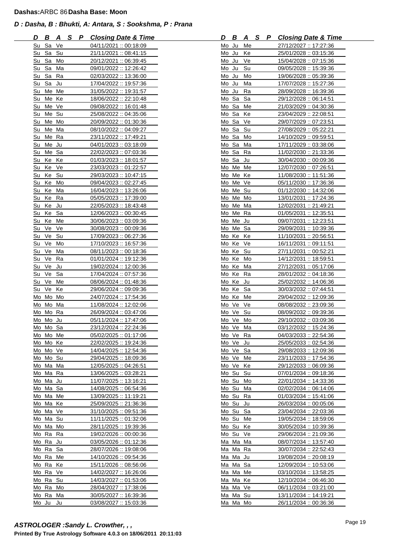| D  | B              | <u>_A</u> | <u>SP</u> | <b>Closing Date &amp; Time</b>                | D     |       | B        | <u>A</u>       | <u>s</u> | P | <b>Closing Date &amp; Time</b>                |
|----|----------------|-----------|-----------|-----------------------------------------------|-------|-------|----------|----------------|----------|---|-----------------------------------------------|
|    | Su Sa Ve       |           |           | 04/11/2021 :: 00:18:09                        | Mo Ju |       |          | Me             |          |   | 27/12/2027 :: 17:27:36                        |
| Su | Sa             | Su        |           | 21/11/2021:: 08:41:15                         |       | Mo Ju |          | Ke             |          |   | 25/01/2028:: 03:15:36                         |
| Su | Sa             | Mo        |           | 20/12/2021: 06:39:45                          |       |       | Mo Ju    | Ve             |          |   | 15/04/2028: 07:15:36                          |
| Su | Sa             | Ma        |           | 09/01/2022 :: 12:26:42                        | Mo Ju |       |          | Su             |          |   | 09/05/2028:: 15:39:36                         |
| Su | Sa             | Ra        |           | 02/03/2022 :: 13:36:00                        | Mo Ju |       |          | Mo             |          |   | 19/06/2028:: 05:39:36                         |
| Su | Sa             | Ju        |           | 17/04/2022: 19:57:36                          |       |       | Mo Ju    | Ma             |          |   | 17/07/2028: 15:27:36                          |
| Su |                | Me Me     |           | 31/05/2022 :: 19:31:57                        |       | Mo Ju |          | Ra             |          |   | 28/09/2028:: 16:39:36                         |
| Su | Me Ke          |           |           | 18/06/2022 :: 22:10:48                        |       |       | Mo Sa    | Sa             |          |   | 29/12/2028: 06:14:51                          |
| Su | Me Ve          |           |           | 09/08/2022 :: 16:01:48                        |       |       | Mo Sa    | Me             |          |   | 21/03/2029:: 04:30:36                         |
| Su | Me Su          |           |           | 25/08/2022: 04:35:06                          |       |       | Mo Sa    | Ke             |          |   | 23/04/2029:: 22:08:51                         |
| Su | Me Mo          |           |           | 20/09/2022:: 01:30:36                         |       |       | Mo Sa    | Ve             |          |   | 29/07/2029:: 07:23:51                         |
| Su |                | Me Ma     |           | 08/10/2022: 04:09:27                          |       |       | Mo Sa    | Su             |          |   | 27/08/2029:: 05:22:21                         |
| Su | Me Ra          |           |           | 23/11/2022: 17:49:21                          |       |       | Mo Sa    | Mo             |          |   | 14/10/2029:: 09:59:51                         |
| Su | Me Ju          |           |           | 04/01/2023: 03:18:09                          |       |       | Mo Sa    | Ma             |          |   | 17/11/2029:: 03:38:06                         |
| Su | Me Sa          |           |           | 22/02/2023: 07:03:36                          |       |       | Mo Sa    | Ra             |          |   | 11/02/2030:: 21:33:36                         |
| Su | Ke Ke          |           |           | 01/03/2023: 18:01:57                          |       |       | Mo Sa    | Ju             |          |   | 30/04/2030:: 00:09:36                         |
| Su | Ke Ve          |           |           | 23/03/2023:: 01:22:57                         |       |       |          | Mo Me Me       |          |   | 12/07/2030:: 07:26:51                         |
| Su | Ke             | Su        |           | 29/03/2023: 10:47:15                          |       |       |          | Mo Me Ke       |          |   | 11/08/2030:: 11:51:36                         |
|    | Su Ke Mo       |           |           | 09/04/2023: 02:27:45                          |       |       |          | Mo Me Ve       |          |   | 05/11/2030:: 17:36:36                         |
|    | Su Ke Ma       |           |           | 16/04/2023: 13:26:06                          |       |       |          | Mo Me Su       |          |   | 01/12/2030:: 14:32:06                         |
| Su | Ke             | Ra        |           | 05/05/2023:: 17:39:00                         |       |       |          | Mo Me Mo       |          |   | <u> 13/01/2031 :: 17:24:36</u>                |
| Su | Ke Ju          |           |           | 22/05/2023: 18:43:48                          |       |       |          | Mo Me Ma       |          |   | 12/02/2031: 21:49:21                          |
| Su | Ke Sa          |           |           | 12/06/2023: 00:30:45                          |       |       |          | Mo Me Ra       |          |   | 01/05/2031: 12:35:51                          |
| Su | Ke Me          |           |           | 30/06/2023: 03:09:36                          |       |       | Mo Me Ju |                |          |   | 09/07/2031:: 12:23:51                         |
|    | Su Ve Ve       |           |           | 30/08/2023: 00:09:36                          |       |       |          | Mo Me Sa       |          |   | 29/09/2031: 10:39:36                          |
| Su | Ve Su          |           |           | 17/09/2023: 06:27:36                          |       |       |          | Mo Ke Ke       |          |   | 11/10/2031: 20:56:51                          |
| Su | Ve             | Mo        |           | 17/10/2023: 16:57:36                          |       |       | Mo Ke    | Ve             |          |   | 16/11/2031:: 09:11:51                         |
| Su | Ve             | Ma        |           | 08/11/2023: 00:18:36                          |       |       | Mo Ke    | Su             |          |   | 27/11/2031:: 00:52:21                         |
| Su | Ve             | Ra        |           | 01/01/2024:: 19:12:36                         |       |       | Mo Ke    | Mo             |          |   | 14/12/2031: 18:59:51                          |
| Su | Ve             | Ju        |           | 19/02/2024: 12:00:36                          |       |       | Mo Ke    | Ma             |          |   | 27/12/2031:: 05:17:06                         |
| Su | Ve<br>Su Ve Me | Sa        |           | 17/04/2024: 07:57:36                          |       |       | Mo Ke    | Mo Ke Ra<br>Ju |          |   | 28/01/2032:: 04:18:36                         |
|    | Su Ve Ke       |           |           | 08/06/2024: 01:48:36<br>29/06/2024:: 09:09:36 |       |       |          | Mo Ke Sa       |          |   | 25/02/2032: 14:06:36<br>30/03/2032:: 07:44:51 |
|    | Mo Mo Mo       |           |           | 24/07/2024: 17:54:36                          |       |       | Mo Ke    | Me             |          |   | 29/04/2032:: 12:09:36                         |
|    | Mo Mo Ma       |           |           | 11/08/2024: 12:02:06                          |       |       |          | Mo Ve Ve       |          |   | 08/08/2032: 23:09:36                          |
|    | Mo Mo Ra       |           |           | 26/09/2024: 03:47:06                          |       |       |          | Mo Ve Su       |          |   | 08/09/2032: 09:39:36                          |
|    | Mo Mo Ju       |           |           | 05/11/2024: 17:47:06                          |       |       |          | Mo Ve Mo       |          |   | 29/10/2032:: 03:09:36                         |
|    | Mo Mo Sa       |           |           | 23/12/2024: 22:24:36                          |       |       |          | Mo Ve Ma       |          |   | 03/12/2032: 15:24:36                          |
|    | Mo Mo Me       |           |           | 05/02/2025: 01:17:06                          |       |       |          | Mo Ve Ra       |          |   | 04/03/2033: 22:54:36                          |
| Mo | Mo Ke          |           |           | 22/02/2025: 19:24:36                          |       |       | Mo Ve Ju |                |          |   | 25/05/2033: 02:54:36                          |
|    | Mo Mo Ve       |           |           | 14/04/2025: 12:54:36                          |       |       |          | Mo Ve Sa       |          |   | 29/08/2033: 12:09:36                          |
|    | Mo Mo Su       |           |           | 29/04/2025: 18:09:36                          |       |       | Mo Ve    | Me             |          |   | 23/11/2033:: 17:54:36                         |
|    | Mo Ma Ma       |           |           | 12/05/2025: 04:26:51                          |       |       | Mo Ve    | Ke             |          |   | 29/12/2033: 06:09:36                          |
|    | Mo Ma Ra       |           |           | 13/06/2025:: 03:28:21                         |       |       | Mo Su    | Su             |          |   | 07/01/2034:: 09:18:36                         |
|    | Mo Ma Ju       |           |           | 11/07/2025: 13:16:21                          |       |       | Mo Su    | Mo             |          |   | 22/01/2034:: 14:33:36                         |
|    | Mo Ma Sa       |           |           | 14/08/2025:: 06:54:36                         |       |       | Mo Su    | Ma             |          |   | 02/02/2034:: 06:14:06                         |
|    | Mo Ma Me       |           |           | 13/09/2025:: 11:19:21                         |       |       | Mo Su    | Ra             |          |   | 01/03/2034: 15:41:06                          |
|    | Mo Ma Ke       |           |           | 25/09/2025: 21:36:36                          |       |       | Mo Su Ju |                |          |   | 26/03/2034: 00:05:06                          |
|    | Mo Ma Ve       |           |           | 31/10/2025: 09:51:36                          |       |       |          | Mo Su Sa       |          |   | 23/04/2034: 22:03:36                          |
|    | Mo Ma Su       |           |           | 11/11/2025:: 01:32:06                         |       |       | Mo Su    | Me             |          |   | 19/05/2034: 18:59:06                          |
|    | Mo Ma Mo       |           |           | 28/11/2025: 19:39:36                          |       |       |          | Mo Su Ke       |          |   | 30/05/2034: 10:39:36                          |
|    | Mo Ra          | Ra        |           | 19/02/2026:: 00:00:36                         |       |       | Mo Su    | Ve             |          |   | 29/06/2034: 21:09:36                          |
|    | Mo Ra          | Ju        |           | 03/05/2026:: 01:12:36                         |       |       | Ma Ma    | Ma             |          |   | 08/07/2034: 13:57:40                          |
|    | Mo Ra          | Sa        |           | 28/07/2026: 19:08:06                          |       |       |          | Ma Ma Ra       |          |   | 30/07/2034: 22:52:43                          |
|    | Mo Ra          | Me        |           | 14/10/2026:: 09:54:36                         |       |       | Ma Ma Ju |                |          |   | 19/08/2034: 20:08:19                          |
|    | Mo Ra          | Ke        |           | 15/11/2026:: 08:56:06                         |       |       |          | Ma Ma Sa       |          |   | 12/09/2034: 10:53:06                          |
|    | Mo Ra Ve       |           |           | 14/02/2027: 16:26:06                          |       |       |          | Ma Ma Me       |          |   | 03/10/2034: 13:58:25                          |
|    | Mo Ra Su       |           |           | 14/03/2027:: 01:53:06                         |       |       |          | Ma Ma Ke       |          |   | 12/10/2034: 06:46:30                          |
|    | Mo Ra Mo       |           |           | 28/04/2027:: 17:38:06                         |       |       |          | Ma Ma Ve       |          |   | 06/11/2034:: 03:21:00                         |
|    | Mo Ra Ma       |           |           | 30/05/2027: 16:39:36                          |       |       |          | Ma Ma Su       |          |   | 13/11/2034:: 14:19:21                         |
|    | Mo Ju          | Ju        |           | 03/08/2027 :: 15:03:36                        |       |       |          | Ma Ma Mo       |          |   | 26/11/2034:: 00:36:36                         |

| D     | В                   |                     | <u>ASP</u> | <b>Closing Date &amp; Time</b> |
|-------|---------------------|---------------------|------------|--------------------------------|
| Mo Ju |                     | Me                  |            | 27/12/2027:: 17:27:36          |
| Mo Ju |                     | Ke                  |            | 25/01/2028:: 03:15:36          |
| Mo Ju |                     | Ve                  |            | 15/04/2028: 07:15:36           |
| Mo Ju |                     | Su                  |            | 09/05/2028: 15:39:36           |
|       | Mo Ju               | Mo                  |            | 19/06/2028: 05:39:36           |
|       | Mo Ju               | Ma                  |            | 17/07/2028: 15:27:36           |
| Mo    | Ju                  | Ra                  |            | 28/09/2028:: 16:39:36          |
|       | Mo Sa               | Sa                  |            | 29/12/2028:: 06:14:51          |
| Mo Sa |                     | Me                  |            | 21/03/2029:: 04:30:36          |
| Mo    | Sa                  | Ke                  |            | <u> 23/04/2029 :: 22:08:51</u> |
| Mo Sa |                     | Ve                  |            | 29/07/2029:: 07:23:51          |
| Mo Sa |                     | Su                  |            | 27/08/2029 :: 05:22:21         |
| Mo    | Sa                  | Mo                  |            | 14/10/2029: 09:59:51           |
| Mo    | Sa                  | Ma                  |            | 17/11/2029:: 03:38:06          |
| Mo Sa |                     | Ra                  |            | 11/02/2030: 21:33:36           |
| Mo Sa |                     | Ju                  |            | 30/04/2030:: 00:09:36          |
|       |                     |                     |            | 12/07/2030:: 07:26:51          |
| Mo    | Me Me               |                     |            |                                |
| Mo    | Me                  | Ke                  |            | 11/08/2030:: 11:51:36          |
|       | Mo Me Ve            |                     |            | 05/11/2030:: 17:36:36          |
| Mo    | Me Su               |                     |            | 01/12/2030:: 14:32:06          |
| Mo    | Me                  | Mo                  |            | 13/01/2031: 17:24:36           |
| Mo    | Me Ma               |                     |            | <u> 12/02/2031 :: 21:49:21</u> |
| Mo    | Me                  | Ra                  |            | 01/05/2031:: 12:35:51          |
| Mo    | Me Ju               |                     |            | 09/07/2031 :: 12:23:51         |
| Mo    | Me                  | Sa                  |            | 29/09/2031: 10:39:36           |
| Mo    | Ke                  | Ke                  |            | 11/10/2031: 20:56:51           |
| Mo Ke |                     | Ve                  |            | 16/11/2031:: 09:11:51          |
|       | Mo Ke               | Su                  |            | 27/11/2031:: 00:52:21          |
| Mo    | Ke                  | Mo                  |            | 14/12/2031: 18:59:51           |
|       | Mo Ke Ma            |                     |            | 27/12/2031: 05:17:06           |
|       | Mo Ke Ra            |                     |            | 28/01/2032:: 04:18:36          |
| Mo    | Ke                  | Ju                  |            | 25/02/2032: 14:06:36           |
|       | Mo Ke               | Sa                  |            | 30/03/2032:: 07:44:51          |
|       | Mo Ke               | Me                  |            | <u>29/04/2032 :: 12:09:36</u>  |
| Mo    | Ve                  | Ve                  |            | 08/08/2032 :: 23:09:36         |
|       | Mo Ve               | Su                  |            | 08/09/2032 :: 09:39:36         |
|       | Mo Ve               | Mo                  |            | 29/10/2032:: 03:09:36          |
| Mo Ve |                     | Ma                  |            | 03/12/2032:: 15:24:36          |
| Mo    | Ve                  | Ra                  |            | 04/03/2033 :: 22:54:36         |
| Mo    | Ve                  | Ju                  |            | 25/05/2033:: 02:54:36          |
| Mo    | Ve                  | Sa                  |            | 29/08/2033: 12:09:36           |
| Mo    | Ve                  | Me                  |            | 23/11/2033: 17:54:36           |
| Mo    | Ve                  | Ke                  |            | 29/12/2033: 06:09:36           |
| Mo    | $S_{\underline{U}}$ | $S_{\underline{u}}$ |            | 07/01/2034: 09:18:36           |
| Mo    | Su                  | Mo                  |            | 22/01/2034:: 14:33:36          |
| Mo    | Su                  | Ma                  |            | 02/02/2034: 06:14:06           |
| Mo    | Su                  | Ra                  |            | 01/03/2034: 15:41:06           |
| Mo    | Su                  | Ju                  |            | 26/03/2034: 00:05:06           |
| Mo    | $S_{\underline{u}}$ | Sa                  |            | <u>23/04/2034 :: 22:03:36</u>  |
| Mo    | Su                  | Me                  |            | 19/05/2034 :: 18:59:06         |
| Mo    | Su                  | Ke                  |            | 30/05/2034:: 10:39:36          |
| Mo    | Su                  | Ve                  |            | 29/06/2034: 21:09:36           |
| Ма    | Ma                  | Ma                  |            | 08/07/2034: 13:57:40           |
| Ma    | Ma                  | Ra                  |            | 30/07/2034: 22:52:43           |
| Ma    | Ma                  | $J_{\underline{u}}$ |            | 19/08/2034: 20:08:19           |
| Ma    | Ma                  | Sa                  |            | 12/09/2034: 10:53:06           |
| Ma    | Ma                  | Me                  |            | 03/10/2034: 13:58:25           |
| Ma    | Ma                  | Ke                  |            | 12/10/2034: 06:46:30           |
| Ma    | Ma                  | Ve                  |            | 06/11/2034 :: 03:21:00         |
| Ma    | Ma                  | Su                  |            | <u> 13/11/2034 :: 14:19:21</u> |
| Ма    | Ma                  | Mo                  |            | 26/11/2034:: 00:36:36          |
|       |                     |                     |            |                                |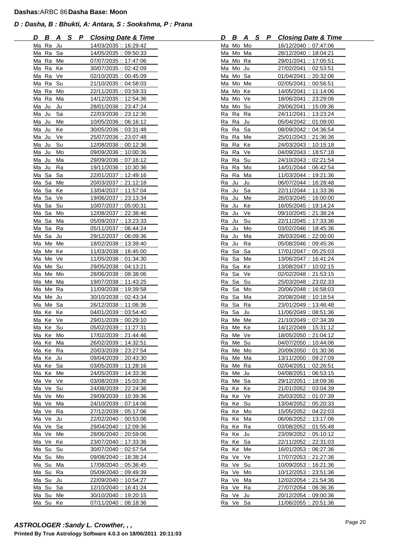| D<br><u>B A</u>      |    | <u>SP</u> | <b>Closing Date &amp; Time</b> | D        | B     | <u>A</u> | $\mathsf{S}$ | P | <b>Closing Date &amp; Time</b> |
|----------------------|----|-----------|--------------------------------|----------|-------|----------|--------------|---|--------------------------------|
| Ma Ra Ju             |    |           | 14/03/2035: 16:29:42           | Ma Mo Mo |       |          |              |   | 16/12/2040: 07:47:06           |
| Ma Ra Sa             |    |           | 14/05/2035:: 09:50:33          | Ma Mo Ma |       |          |              |   | 28/12/2040:: 18:04:21          |
| Ma Ra Me             |    |           | 07/07/2035: 17:47:06           | Ma Mo Ra |       |          |              |   | 29/01/2041: 17:05:51           |
| Ma Ra                | Ke |           | 30/07/2035: 02:42:09           | Ma Mo Ju |       |          |              |   | 27/02/2041: 02:53:51           |
| Ma Ra                | Ve |           | 02/10/2035:: 00:45:09          | Ma Mo Sa |       |          |              |   | 01/04/2041 :: 20:32:06         |
| Ma Ra                | Su |           | 21/10/2035:: 04:58:03          | Ma Mo Me |       |          |              |   | 02/05/2041: 00:56:51           |
| Ma Ra                | Mo |           | 22/11/2035:: 03:59:33          | Ma Mo Ke |       |          |              |   | 14/05/2041: 11:14:06           |
| Ma Ra                | Ma |           | 14/12/2035:: 12:54:36          | Ma Mo Ve |       |          |              |   | 18/06/2041 :: 23:29:06         |
| Ma Ju                | Ju |           | 28/01/2036: 23:47:24           | Ma Mo Su |       |          |              |   | 29/06/2041: 15:09:36           |
| Ma Ju                | Sa |           | 22/03/2036:: 23:12:36          | Ra Ra    |       | Ra       |              |   | 24/11/2041 :: 13:23:24         |
| Ma Ju                | Me |           | 10/05/2036: 06:16:12           | Ra Ra Ju |       |          |              |   | 05/04/2042 :: 01:09:00         |
| Ma Ju                | Ke |           | 30/05/2036: 03:31:48           | Ra Ra Sa |       |          |              |   | 08/09/2042 :: 04:36:54         |
| Ma Ju                | Ve |           | 25/07/2036: 23:07:48           | Ra Ra Me |       |          |              |   | 25/01/2043: 21:36:36           |
| Ma Ju                | Su |           | 12/08/2036: : 00:12:36         | Ra Ra Ke |       |          |              |   | 24/03/2043: 10:15:18           |
| Ma Ju                | Mo |           | 09/09/2036: 10:00:36           | Ra Ra    |       | Ve       |              |   | 04/09/2043: 18:57:18           |
| Ma Ju                | Ma |           | 29/09/2036: 07:16:12           | Ra Ra Su |       |          |              |   | 24/10/2043: 02:21:54           |
| Ma Ju                | Ra |           | 19/11/2036: 10:30:36           | Ra Ra    |       | Mo       |              |   | 14/01/2044: 06:42:54           |
| Ma Sa                | Sa |           | 22/01/2037:: 12:49:16          | Ra Ra    |       | Ma       |              |   | 11/03/2044: 19:21:36           |
| Ma Sa                | Me |           | 20/03/2037:: 21:12:18          | Ra Ju    |       | Ju       |              |   | 06/07/2044: 16:28:48           |
| Ma Sa                | Ke |           | 13/04/2037:: 11:57:04          | Ra Ju    |       | Sa       |              |   | 22/11/2044:: 11:33:36          |
|                      |    |           |                                |          |       |          |              |   |                                |
| Ma Sa Ve<br>Ma Sa Su |    |           | <u> 19/06/2037 :: 23:13:34</u> | Ra Ju    |       | Me<br>Ke |              |   | 26/03/2045: 16:00:00           |
|                      |    |           | 10/07/2037: 05:00:31           | Ra Ju    |       |          |              |   | 16/05/2045: 19:14:24           |
| Ma Sa Mo             |    |           | 12/08/2037 :: 22:38:46         | Ra Ju    |       | Ve       |              |   | 09/10/2045: 21:38:24           |
| Ma Sa Ma             |    |           | 05/09/2037:: 13:23:33          | Ra Ju    |       | Su       |              |   | 22/11/2045 :: 17:33:36         |
| Ma Sa                | Ra |           | 05/11/2037: 06:44:24           | Ra Ju    |       | Mo       |              |   | 03/02/2046: 18:45:36           |
| Ma Sa Ju             |    |           | 29/12/2037: 06:09:36           | Ra Ju    |       | Ma       |              |   | 26/03/2046: 22:00:00           |
| Me Me<br>Ma          |    |           | 18/02/2038:: 13:39:40          | Ra Ju    |       | Ra       |              |   | 05/08/2046 :: 09:45:36         |
| Ma Me Ke             |    |           | 11/03/2038: 16:45:00           | Ra Sa    |       | Sa       |              |   | 17/01/2047: 05:25:03           |
| Me Ve<br>Ma          |    |           | 11/05/2038:: 01:34:30          | Ra Sa    |       | Me       |              |   | 13/06/2047: 16:41:24           |
| Ma Me Su             |    |           | 29/05/2038:: 04:13:21          | Ra Sa    |       | Ke       |              |   | 13/08/2047: 10:02:15           |
| Ma Me Mo             |    |           | 28/06/2038: 08:38:06           | Ra Sa    |       | Ve       |              |   | 02/02/2048: 21:53:15           |
| Ma Me Ma             |    |           | 19/07/2038: 11:43:25           | Ra Sa    |       | Su       |              |   | 25/03/2048: 23:02:33           |
| Ma Me Ra             |    |           | 11/09/2038:: 19:39:58          | Ra Sa    |       | Mo       |              |   | 20/06/2048: 16:58:03           |
| Ma Me Ju             |    |           | 30/10/2038:: 02:43:34          | Ra Sa    |       | Ma       |              |   | 20/08/2048: 10:18:54           |
| Ma Me Sa             |    |           | 26/12/2038: 11:06:36           | Ra Sa    |       | Ra       |              |   | 23/01/2049:: 13:46:48          |
| Ma Ke Ke             |    |           | 04/01/2039: 03:54:40           | Ra Sa Ju |       |          |              |   | 11/06/2049:: 08:51:36          |
| Ma Ke Ve             |    |           | 29/01/2039:: 00:29:10          | Ra Me Me |       |          |              |   | 21/10/2049:: 07:34:39          |
| Ma Ke Su             |    |           | 05/02/2039:: 11:27:31          | Ra Me Ke |       |          |              |   | 14/12/2049:: 15:31:12          |
| Ma Ke Mo             |    |           | 17/02/2039: 21:44:46           | Ra Me Ve |       |          |              |   | 18/05/2050:: 21:04:12          |
| Ma Ke                | Ma |           | 26/02/2039:: 14:32:51          | Ra       | Me Su |          |              |   | 04/07/2050: 10:44:06           |
| Ma Ke                | Ra |           | 20/03/2039: 23:27:54           | Ra Me Mo |       |          |              |   | 20/09/2050:: 01:30:36          |
| Ma Ke                | Ju |           | 09/04/2039: 20:43:30           | Ra       | Me Ma |          |              |   | 13/11/2050:: 09:27:09          |
| Ma Ke                | Sa |           | 03/05/2039:: 11:28:16          | Ra Me Ra |       |          |              |   | 02/04/2051: 02:26:51           |
| Ma Ke                | Me |           | 24/05/2039:: 14:33:36          | Ra Me Ju |       |          |              |   | 04/08/2051: 06:53:15           |
| Ma Ve Ve             |    |           | 03/08/2039:: 15:03:36          | Ra Me Sa |       |          |              |   | 29/12/2051: 18:09:36           |
| Ma Ve Su             |    |           | 24/08/2039:: 22:24:36          | Ra Ke    |       | Ke       |              |   | 21/01/2052:: 03:04:39          |
| Ma Ve Mo             |    |           | 29/09/2039:: 10:39:36          | Ra Ke Ve |       |          |              |   | 25/03/2052:: 01:07:39          |
| Ma Ve Ma             |    |           | 24/10/2039:: 07:14:06          | Ra Ke Su |       |          |              |   | 13/04/2052 :: 05:20:33         |
| Ma Ve                | Ra |           | 27/12/2039:: 05:17:06          | Ra Ke    |       | Mo       |              |   | 15/05/2052 :: 04:22:03         |
| Ma Ve Ju             |    |           | 22/02/2040: 00:53:06           | Ra Ke Ma |       |          |              |   | 06/06/2052: 13:17:06           |
| Ma Ve Sa             |    |           | 29/04/2040: 12:09:36           | Ra Ke Ra |       |          |              |   | 03/08/2052: 01:55:48           |
| Ma Ve Me             |    |           | 28/06/2040: 20:59:06           | Ra Ke    |       | Ju       |              |   | 23/09/2052: 05:10:12           |
| Ma Ve                | Ke |           | 23/07/2040: 17:33:36           | Ra Ke    |       | Sa       |              |   | 22/11/2052: 22:31:03           |
| Ma Su                | Su |           | 30/07/2040: 02:57:54           | Ra Ke    |       | Me       |              |   | 16/01/2053: 06:27:36           |
| Ma Su                | Mo |           | 09/08/2040: 18:38:24           | Ra Ve Ve |       |          |              |   | 17/07/2053: 21:27:36           |
| Ma Su                | Ma |           | 17/08/2040: 05:36:45           | Ra Ve Su |       |          |              |   | 10/09/2053: 16:21:36           |
| Ma Su Ra             |    |           | 05/09/2040 :: 09:49:39         | Ra Ve    |       | Mo       |              |   | 10/12/2053: 23:51:36           |
| Ma Su Ju             |    |           | 22/09/2040:: 10:54:27          | Ra Ve Ma |       |          |              |   | 12/02/2054: 21:54:36           |
| Ma Su Sa             |    |           | 12/10/2040: 16:41:24           | Ra Ve    |       | Ra       |              |   | 27/07/2054:: 06:36:36          |
| Ma Su Me             |    |           | 30/10/2040: 19:20:15           | Ra Ve Ju |       |          |              |   | 20/12/2054:: 09:00:36          |
| Ma Su Ke             |    |           | 07/11/2040: 06:18:36           | Ra Ve Sa |       |          |              |   | 11/06/2055: 20:51:36           |

| D         |                |                     |  | <b>B A S P Closing Date &amp; Time</b> |
|-----------|----------------|---------------------|--|----------------------------------------|
| Ma        | Mo Mo          |                     |  | 16/12/2040: 07:47:06                   |
|           | Ma Mo          | Ma                  |  | 28/12/2040:: 18:04:21                  |
|           | Ma Mo Ra       |                     |  | 29/01/2041 :: 17:05:51                 |
| Ma        | Mo Ju          |                     |  | 27/02/2041: 02:53:51                   |
|           | Ma Mo Sa       |                     |  | 01/04/2041 :: 20:32:06                 |
| <u>Ma</u> | Mo             | Me                  |  | 02/05/2041 :: 00:56:51                 |
| Ma        | Mo             | Ke                  |  | 14/05/2041: 11:14:06                   |
| Ma        | Mo Ve          |                     |  | 18/06/2041 :: 23:29:06                 |
| Ma        | Mo             | Su                  |  | <u> 29/06/2041 :: 15:09:36</u>         |
| Ra        | Ra             | Ra                  |  | <u> 24/11/2041 :: 13:23:24</u>         |
| Ra        | Ra             | Ju                  |  | 05/04/2042 :: 01:09:00                 |
| Ra        | Ra             | Sa                  |  | 08/09/2042 :: 04:36:54                 |
| Ra        | Ra             | Me                  |  | 25/01/2043: 21:36:36                   |
| Ra        | Ra             | Ke                  |  | 24/03/2043: 10:15:18                   |
| Ra Ra     |                | Ve                  |  | 04/09/2043: 18:57:18                   |
| Ra        | Ra             | Su                  |  | 24/10/2043: 02:21:54                   |
|           |                | Mo                  |  | 14/01/2044 :: 06:42:54                 |
|           | Ra Ra<br>Ra Ra |                     |  | 11/03/2044: 19:21:36                   |
|           |                | Ma                  |  |                                        |
|           | R <u>a Ju</u>  | Ju                  |  | 06/07/2044: 16:28:48                   |
| Ra        | Ju             | Sa                  |  | 22/11/2044: 11:33:36                   |
| Ra        | Ju             | Me                  |  | 26/03/2045 :: 16:00:00                 |
| Ra        | Ju             | Ke                  |  | 16/05/2045:: 19:14:24                  |
| Ra        | Ju             | Ve                  |  | 09/10/2045: 21:38:24                   |
| Ra        | Ju             | <u>Su</u>           |  | <u> 22/11/2045 :: 17:33:36</u>         |
| <b>Ra</b> | Ju             | Mo                  |  | 03/02/2046:: 18:45:36                  |
| Ra        | Ju             | Ma                  |  | 26/03/2046: 22:00:00                   |
| Ra        | Ju             | Ra                  |  | 05/08/2046: 09:45:36                   |
| Ra        | Sa             | Sa                  |  | 17/01/2047: 05:25:03                   |
| Ra        | Sa             | Me                  |  | 13/06/2047 :: 16:41:24                 |
|           | Ra Sa          | Ke                  |  | 13/08/2047: 10:02:15                   |
|           | Ra Sa          | Ve                  |  | 02/02/2048: 21:53:15                   |
| Ra        | Sa             | Su                  |  | 25/03/2048: 23:02:33                   |
| Ra        | Sa             | Mo                  |  | 20/06/2048: 16:58:03                   |
| Ra        | Sa             | Ma                  |  | 20/08/2048: 10:18:54                   |
| Ra        | Sa             | Ra                  |  | 23/01/2049: 13:46:48                   |
| Ra        | <u>Sa</u>      | Ju                  |  | 11/06/2049: 08:51:36                   |
| Ra        | Me             | Me                  |  | 21/10/2049: 07:34:39                   |
| Ra        | Me             | Ke                  |  | 14/12/2049:: 15:31:12                  |
| Ra        | Me             | Ve                  |  | 18/05/2050 :: 21:04:12                 |
| Ra        | Me             | Su                  |  | 04/07/2050: 10:44:06                   |
| Ra        | Me             | Mo                  |  | 20/09/2050:: 01:30:36                  |
| Ra        | Me             | Ma                  |  | 13/11/2050:: 09:27:09                  |
| Ra        | Me             | Ra                  |  | 02/04/2051: 02:26:51                   |
| Ra        | Me             | Ju                  |  | 04/08/2051: 06:53:15                   |
| Ra        | Me             | Sa                  |  | 29/12/2051: 18:09:36                   |
| Ra        | Ke             | Ke                  |  | 21/01/2052:: 03:04:39                  |
| Ra        | Ke             | Ve                  |  | 25/03/2052:: 01:07:39                  |
| Ra        | Ke             | Su                  |  | 13/04/2052 :: 05:20:33                 |
| Ra        | Ke             | Mo                  |  | 15/05/2052 :: 04:22:03                 |
| Ra        | Ke             | Ma                  |  | 06/06/2052: 13:17:06                   |
| <b>Ra</b> | Ke             | Ra                  |  | 03/08/2052: 01:55:48                   |
| Ra        | Ke             | Ju                  |  | 23/09/2052: 05:10:12                   |
| Ra        | Ke             | Sa                  |  | 22/11/2052: 22:31:03                   |
| <u>Ra</u> | Ke             | Me                  |  | 16/01/2053: 06:27:36                   |
| Ra        | Ve             | Ve                  |  | 17/07/2053: 21:27:36                   |
| Ra        | Ve             | $S_{\underline{u}}$ |  | 10/09/2053: 16:21:36                   |
| Ra        | Ve             | Mo                  |  | 10/12/2053: 23:51:36                   |
| Ra        | Ve             | $M\underline{a}$    |  | 12/02/2054: 21:54:36                   |
| Ra        | Ve             | Ra                  |  |                                        |
| Ra        | Ve             | Ju                  |  | 27/07/2054: 06:36:36                   |
| Ra        |                |                     |  | 20/12/2054 :: 09:00:36                 |
|           | Ve             | Sa                  |  | 11/06/2055:: 20:51:36                  |